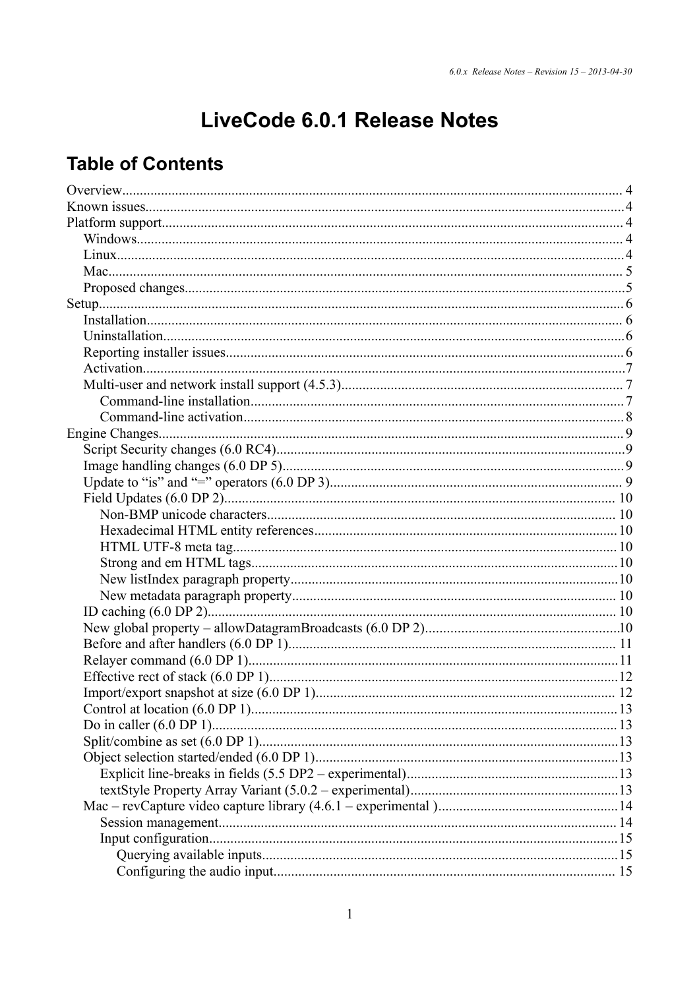# LiveCode 6.0.1 Release Notes

# **Table of Contents**

| Control at location (6.0 DP 1). | 13 |
|---------------------------------|----|
|                                 |    |
|                                 |    |
|                                 |    |
|                                 |    |
|                                 |    |
|                                 |    |
|                                 |    |
|                                 |    |
|                                 |    |
|                                 |    |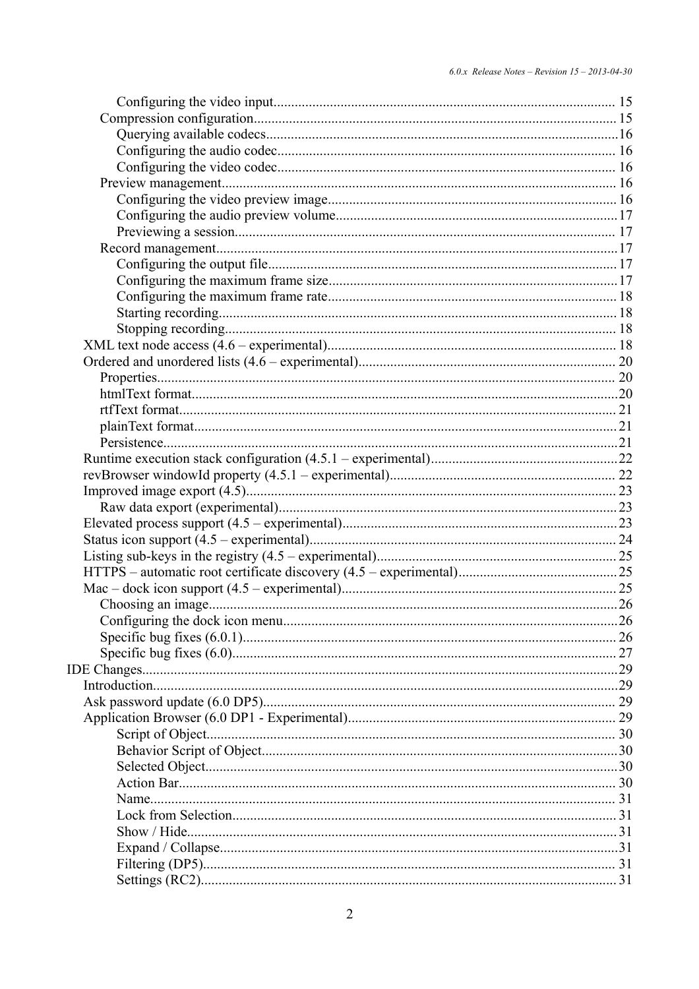| Configuring the dock icon menu | .26 |
|--------------------------------|-----|
|                                |     |
|                                |     |
|                                |     |
|                                |     |
|                                |     |
|                                |     |
|                                |     |
|                                |     |
|                                |     |
|                                |     |
|                                |     |
|                                |     |
|                                |     |
|                                |     |
|                                |     |
|                                |     |
|                                |     |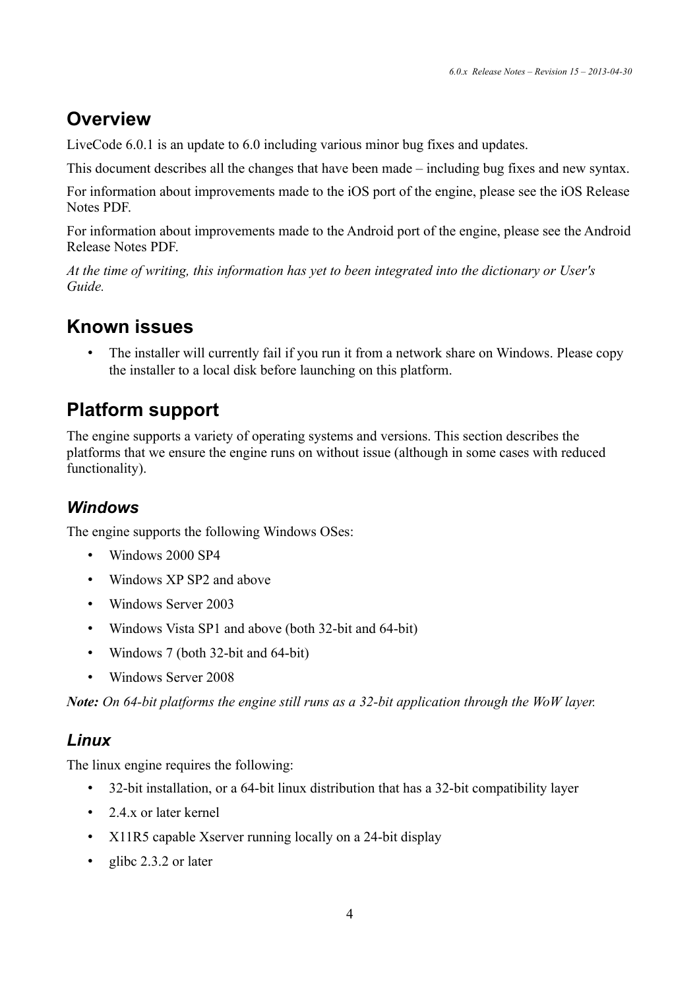# **Overview**

LiveCode 6.0.1 is an update to 6.0 including various minor bug fixes and updates.

This document describes all the changes that have been made – including bug fixes and new syntax.

For information about improvements made to the iOS port of the engine, please see the iOS Release Notes PDF.

For information about improvements made to the Android port of the engine, please see the Android Release Notes PDF.

*At the time of writing, this information has yet to been integrated into the dictionary or User's Guide.*

# **Known issues**

The installer will currently fail if you run it from a network share on Windows. Please copy the installer to a local disk before launching on this platform.

# **Platform support**

The engine supports a variety of operating systems and versions. This section describes the platforms that we ensure the engine runs on without issue (although in some cases with reduced functionality).

## *Windows*

The engine supports the following Windows OSes:

- Windows 2000 SP4
- Windows XP SP2 and above
- Windows Server 2003
- Windows Vista SP1 and above (both 32-bit and 64-bit)
- Windows 7 (both 32-bit and 64-bit)
- Windows Server 2008

*Note: On 64-bit platforms the engine still runs as a 32-bit application through the WoW layer.*

## *Linux*

The linux engine requires the following:

- 32-bit installation, or a 64-bit linux distribution that has a 32-bit compatibility layer
- 2.4 x or later kernel
- X11R5 capable Xserver running locally on a 24-bit display
- glibc 2.3.2 or later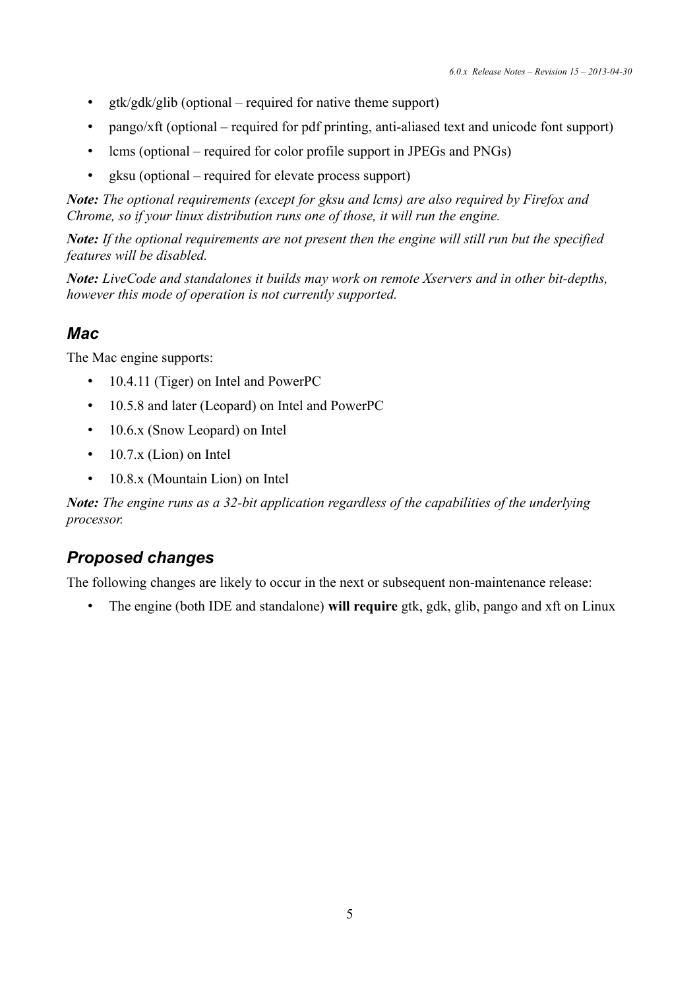- gtk/gdk/glib (optional required for native theme support)
- pango/xft (optional required for pdf printing, anti-aliased text and unicode font support)
- lcms (optional required for color profile support in JPEGs and PNGs)
- gksu (optional required for elevate process support)

*Note: The optional requirements (except for gksu and lcms) are also required by Firefox and Chrome, so if your linux distribution runs one of those, it will run the engine.*

*Note: If the optional requirements are not present then the engine will still run but the specified features will be disabled.*

*Note: LiveCode and standalones it builds may work on remote Xservers and in other bit-depths, however this mode of operation is not currently supported.*

### *Mac*

The Mac engine supports:

- 10.4.11 (Tiger) on Intel and PowerPC
- 10.5.8 and later (Leopard) on Intel and PowerPC
- 10.6.x (Snow Leopard) on Intel
- 10.7.x (Lion) on Intel
- 10.8.x (Mountain Lion) on Intel

*Note: The engine runs as a 32-bit application regardless of the capabilities of the underlying processor.*

## *Proposed changes*

The following changes are likely to occur in the next or subsequent non-maintenance release:

• The engine (both IDE and standalone) **will require** gtk, gdk, glib, pango and xft on Linux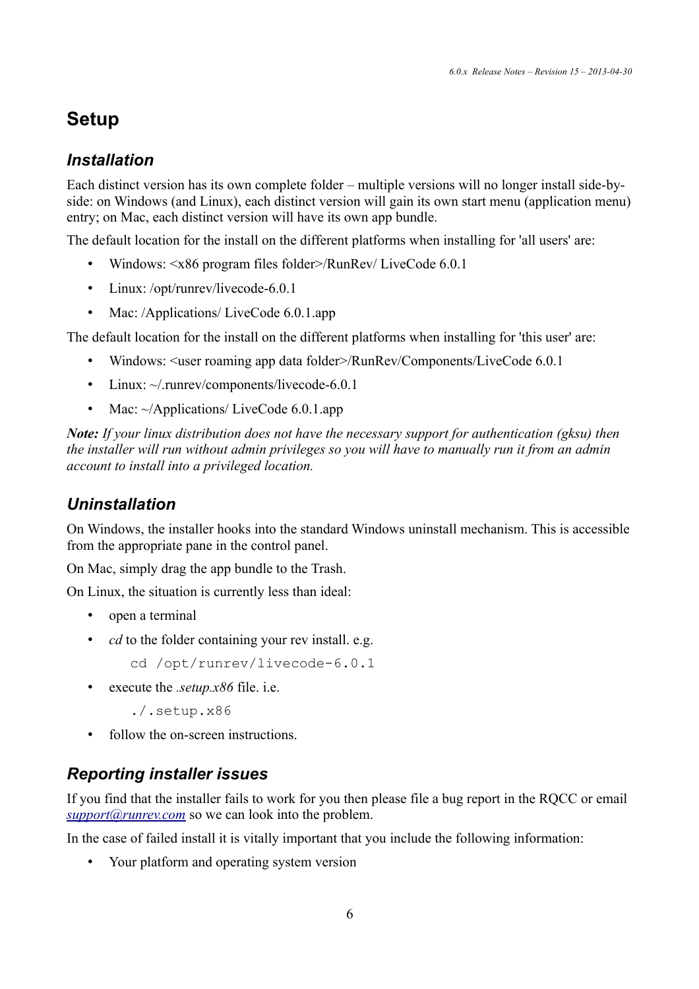# **Setup**

## *Installation*

Each distinct version has its own complete folder – multiple versions will no longer install side-byside: on Windows (and Linux), each distinct version will gain its own start menu (application menu) entry; on Mac, each distinct version will have its own app bundle.

The default location for the install on the different platforms when installing for 'all users' are:

- Windows:  $\langle x86 \rangle$  program files folder >/RunRev/ LiveCode 6.0.1
- Linux: /opt/runrev/livecode-6.0.1
- Mac: /Applications/ LiveCode 6.0.1.app

The default location for the install on the different platforms when installing for 'this user' are:

- Windows: <user roaming app data folder>/RunRev/Components/LiveCode 6.0.1
- Linux:  $\sim$ /.runrev/components/livecode-6.0.1
- Mac:  $\sim$ /Applications/ LiveCode 6.0.1.app

*Note: If your linux distribution does not have the necessary support for authentication (gksu) then the installer will run without admin privileges so you will have to manually run it from an admin account to install into a privileged location.*

## *Uninstallation*

On Windows, the installer hooks into the standard Windows uninstall mechanism. This is accessible from the appropriate pane in the control panel.

On Mac, simply drag the app bundle to the Trash.

On Linux, the situation is currently less than ideal:

- open a terminal
- *cd* to the folder containing your rev install. e.g.
	- cd /opt/runrev/livecode-6.0.1
- execute the *.setup.x86* file. i.e.
	- ./.setup.x86
- follow the on-screen instructions.

## *Reporting installer issues*

If you find that the installer fails to work for you then please file a bug report in the RQCC or email  $support@runrev.com$  so we can look into the problem.

In the case of failed install it is vitally important that you include the following information:

• Your platform and operating system version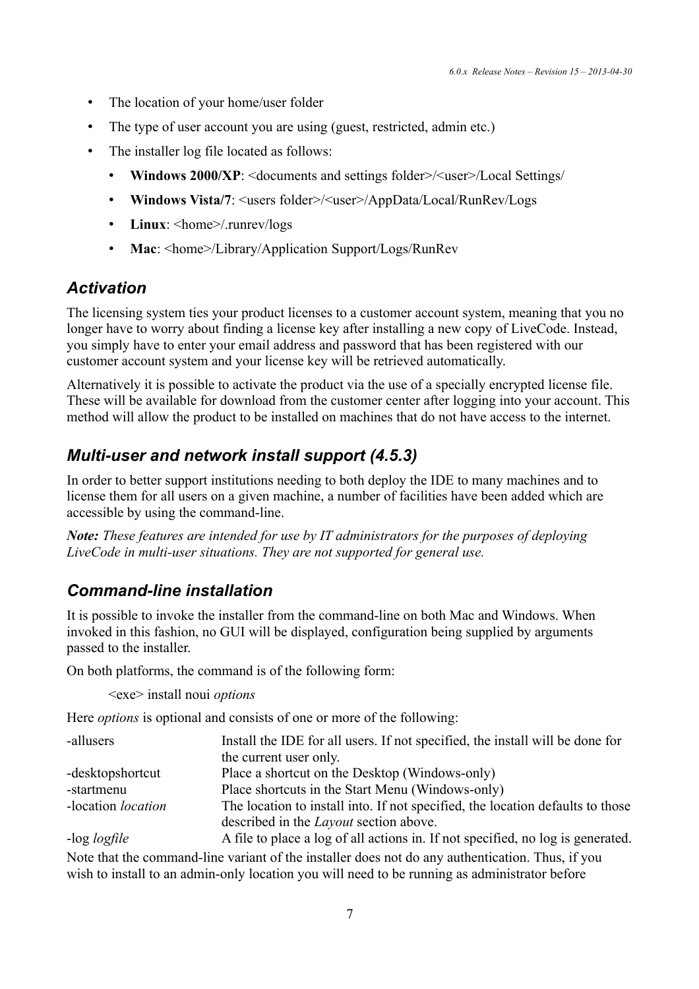- The location of your home/user folder
- The type of user account you are using (guest, restricted, admin etc.)
- The installer log file located as follows:
	- **Windows 2000/XP**: <documents and settings folder>/<user>/Local Settings/
	- **Windows Vista/7**: <users folder>/<user>/AppData/Local/RunRev/Logs
	- Linux: <home>/.runrev/logs
	- Mac: <home>/Library/Application Support/Logs/RunRev

### *Activation*

The licensing system ties your product licenses to a customer account system, meaning that you no longer have to worry about finding a license key after installing a new copy of LiveCode. Instead, you simply have to enter your email address and password that has been registered with our customer account system and your license key will be retrieved automatically.

Alternatively it is possible to activate the product via the use of a specially encrypted license file. These will be available for download from the customer center after logging into your account. This method will allow the product to be installed on machines that do not have access to the internet.

### *Multi-user and network install support (4.5.3)*

In order to better support institutions needing to both deploy the IDE to many machines and to license them for all users on a given machine, a number of facilities have been added which are accessible by using the command-line.

*Note: These features are intended for use by IT administrators for the purposes of deploying LiveCode in multi-user situations. They are not supported for general use.*

### *Command-line installation*

It is possible to invoke the installer from the command-line on both Mac and Windows. When invoked in this fashion, no GUI will be displayed, configuration being supplied by arguments passed to the installer.

On both platforms, the command is of the following form:

<exe> install noui *options*

Here *options* is optional and consists of one or more of the following:

| -allusers                 | Install the IDE for all users. If not specified, the install will be done for  |
|---------------------------|--------------------------------------------------------------------------------|
|                           | the current user only.                                                         |
| -desktopshortcut          | Place a shortcut on the Desktop (Windows-only)                                 |
| -startmenu                | Place shortcuts in the Start Menu (Windows-only)                               |
| -location <i>location</i> | The location to install into. If not specified, the location defaults to those |
|                           | described in the <i>Layout</i> section above.                                  |
| $log$ $logth$             | A file to place a log of all ections in If not specified no log is concreted   |

-log *logfile* A file to place a log of all actions in. If not specified, no log is generated. Note that the command-line variant of the installer does not do any authentication. Thus, if you wish to install to an admin-only location you will need to be running as administrator before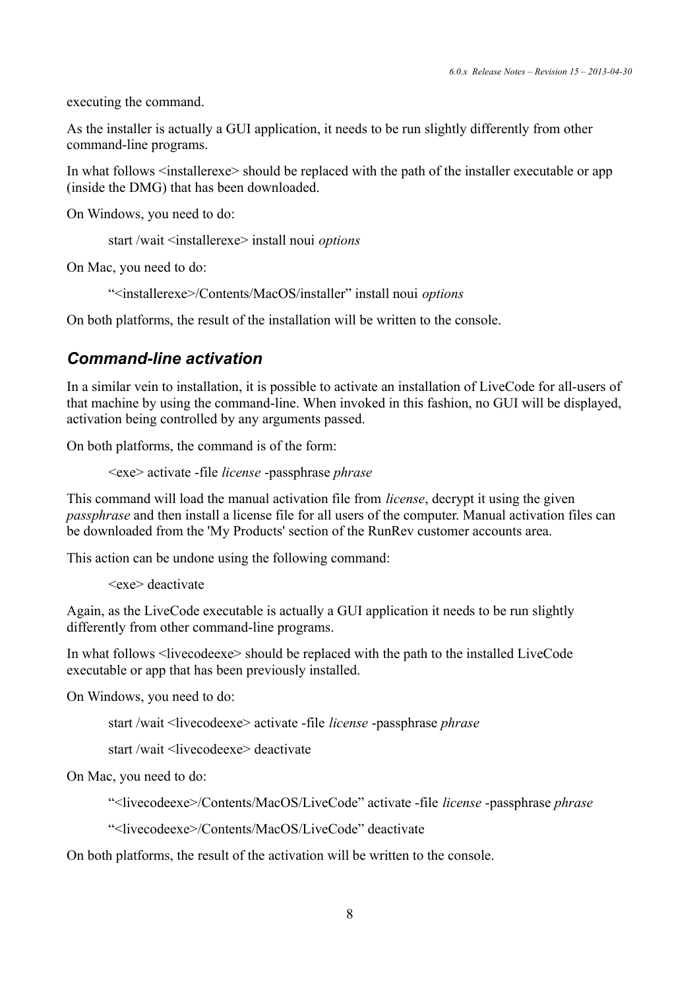executing the command.

As the installer is actually a GUI application, it needs to be run slightly differently from other command-line programs.

In what follows  $\leq$  installerexe $\geq$  should be replaced with the path of the installer executable or app (inside the DMG) that has been downloaded.

On Windows, you need to do:

start /wait <installerexe> install noui *options*

On Mac, you need to do:

"<installerexe>/Contents/MacOS/installer" install noui *options*

On both platforms, the result of the installation will be written to the console.

#### *Command-line activation*

In a similar vein to installation, it is possible to activate an installation of LiveCode for all-users of that machine by using the command-line. When invoked in this fashion, no GUI will be displayed, activation being controlled by any arguments passed.

On both platforms, the command is of the form:

<exe> activate -file *license* -passphrase *phrase*

This command will load the manual activation file from *license*, decrypt it using the given *passphrase* and then install a license file for all users of the computer. Manual activation files can be downloaded from the 'My Products' section of the RunRev customer accounts area.

This action can be undone using the following command:

```
<exe> deactivate
```
Again, as the LiveCode executable is actually a GUI application it needs to be run slightly differently from other command-line programs.

In what follows <livecodeexe> should be replaced with the path to the installed LiveCode executable or app that has been previously installed.

On Windows, you need to do:

start /wait <livecodeexe> activate -file *license* -passphrase *phrase*

start /wait <livecodeexe> deactivate

On Mac, you need to do:

"<livecodeexe>/Contents/MacOS/LiveCode" activate -file *license* -passphrase *phrase*

"<livecodeexe>/Contents/MacOS/LiveCode" deactivate

On both platforms, the result of the activation will be written to the console.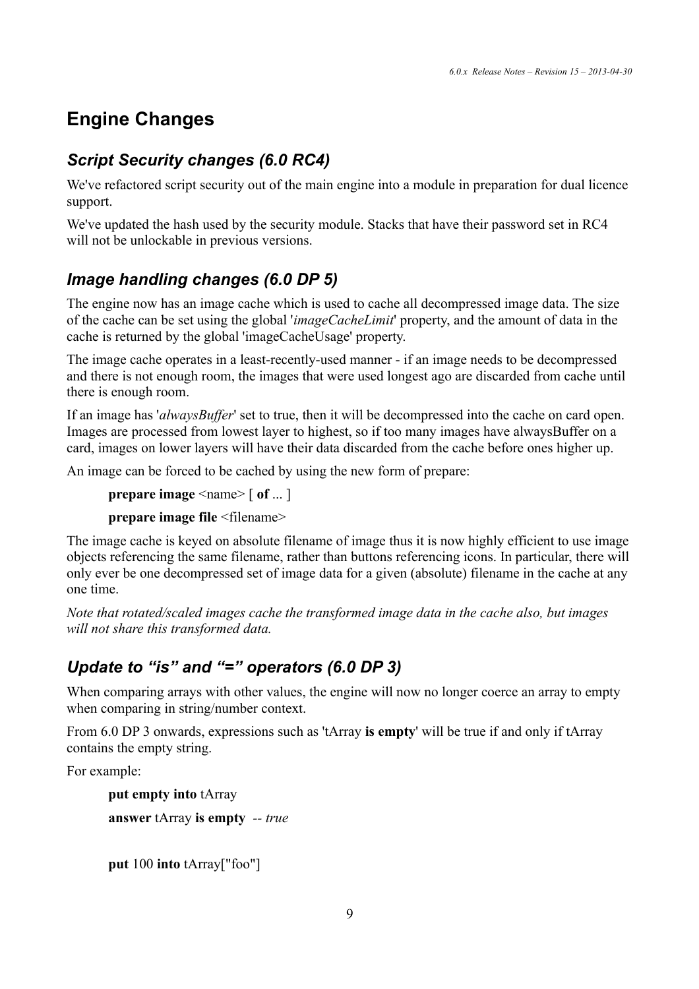# **Engine Changes**

## *Script Security changes (6.0 RC4)*

We've refactored script security out of the main engine into a module in preparation for dual licence support.

We've updated the hash used by the security module. Stacks that have their password set in RC4 will not be unlockable in previous versions.

## *Image handling changes (6.0 DP 5)*

The engine now has an image cache which is used to cache all decompressed image data. The size of the cache can be set using the global '*imageCacheLimit*' property, and the amount of data in the cache is returned by the global 'imageCacheUsage' property.

The image cache operates in a least-recently-used manner - if an image needs to be decompressed and there is not enough room, the images that were used longest ago are discarded from cache until there is enough room.

If an image has '*alwaysBuffer*' set to true, then it will be decompressed into the cache on card open. Images are processed from lowest layer to highest, so if too many images have alwaysBuffer on a card, images on lower layers will have their data discarded from the cache before ones higher up.

An image can be forced to be cached by using the new form of prepare:

```
prepare image <name> \lceil of ... \rceil
```
**prepare image file** <filename>

The image cache is keyed on absolute filename of image thus it is now highly efficient to use image objects referencing the same filename, rather than buttons referencing icons. In particular, there will only ever be one decompressed set of image data for a given (absolute) filename in the cache at any one time.

*Note that rotated/scaled images cache the transformed image data in the cache also, but images will not share this transformed data.*

## *Update to "is" and "=" operators (6.0 DP 3)*

When comparing arrays with other values, the engine will now no longer coerce an array to empty when comparing in string/number context.

From 6.0 DP 3 onwards, expressions such as 'tArray **is empty**' will be true if and only if tArray contains the empty string.

For example:

**put empty into** tArray **answer** tArray **is empty** *-- true*

**put** 100 **into** tArray["foo"]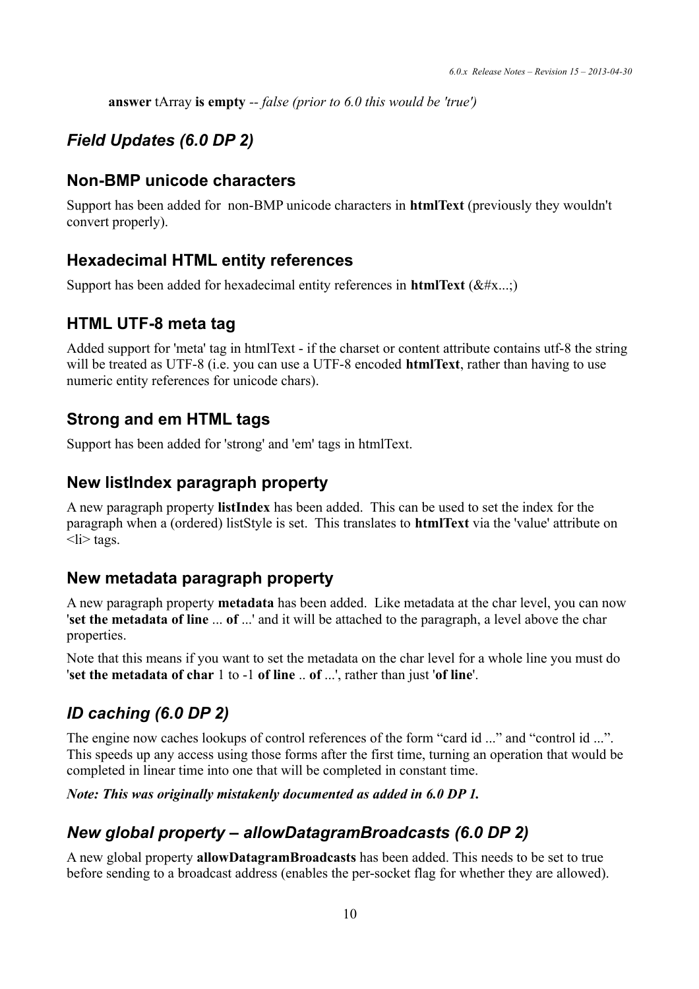**answer** tArray **is empty** *-- false (prior to 6.0 this would be 'true')*

## *Field Updates (6.0 DP 2)*

### **Non-BMP unicode characters**

Support has been added for non-BMP unicode characters in **htmlText** (previously they wouldn't convert properly).

## **Hexadecimal HTML entity references**

Support has been added for hexadecimal entity references in **htmlText** ( $&\#x$ ...;)

## **HTML UTF-8 meta tag**

Added support for 'meta' tag in htmlText - if the charset or content attribute contains utf-8 the string will be treated as UTF-8 (i.e. you can use a UTF-8 encoded **htmlText**, rather than having to use numeric entity references for unicode chars).

## **Strong and em HTML tags**

Support has been added for 'strong' and 'em' tags in htmlText.

## **New listIndex paragraph property**

A new paragraph property **listIndex** has been added. This can be used to set the index for the paragraph when a (ordered) listStyle is set. This translates to **htmlText** via the 'value' attribute on  $\langle$ li $\rangle$  tags.

## **New metadata paragraph property**

A new paragraph property **metadata** has been added. Like metadata at the char level, you can now '**set the metadata of line** ... **of** ...' and it will be attached to the paragraph, a level above the char properties.

Note that this means if you want to set the metadata on the char level for a whole line you must do '**set the metadata of char** 1 to -1 **of line** .. **of** ...', rather than just '**of line**'.

## *ID caching (6.0 DP 2)*

The engine now caches lookups of control references of the form "card id ..." and "control id ...". This speeds up any access using those forms after the first time, turning an operation that would be completed in linear time into one that will be completed in constant time.

#### *Note: This was originally mistakenly documented as added in 6.0 DP 1.*

## *New global property – allowDatagramBroadcasts (6.0 DP 2)*

A new global property **allowDatagramBroadcasts** has been added. This needs to be set to true before sending to a broadcast address (enables the per-socket flag for whether they are allowed).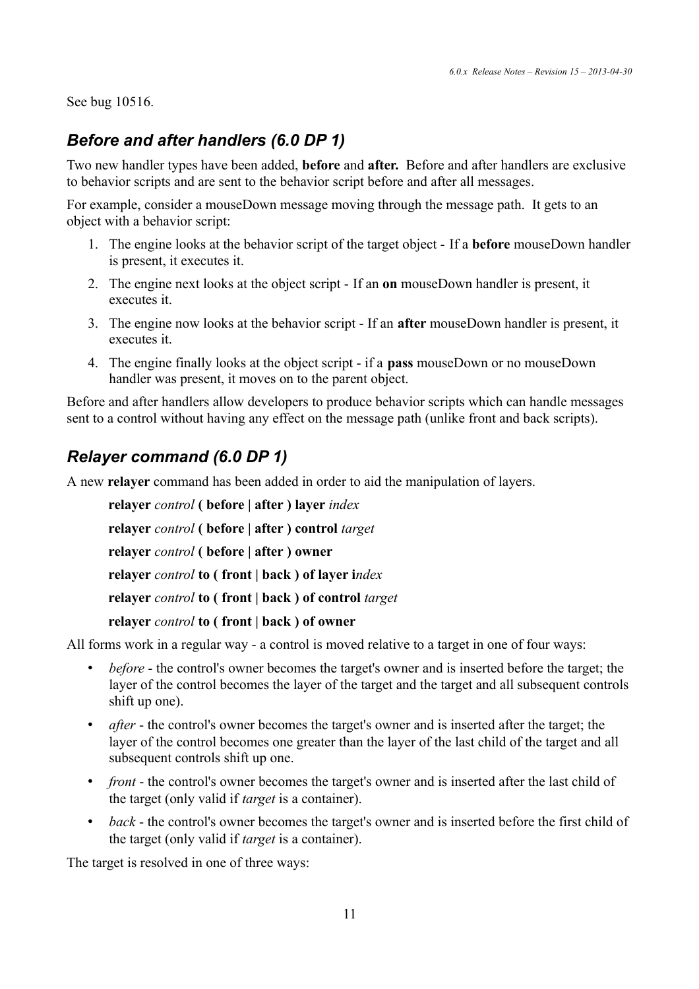See bug 10516.

## *Before and after handlers (6.0 DP 1)*

Two new handler types have been added, **before** and **after.** Before and after handlers are exclusive to behavior scripts and are sent to the behavior script before and after all messages.

For example, consider a mouseDown message moving through the message path. It gets to an object with a behavior script:

- 1. The engine looks at the behavior script of the target object If a **before** mouseDown handler is present, it executes it.
- 2. The engine next looks at the object script If an **on** mouseDown handler is present, it executes it.
- 3. The engine now looks at the behavior script If an **after** mouseDown handler is present, it executes it.
- 4. The engine finally looks at the object script if a **pass** mouseDown or no mouseDown handler was present, it moves on to the parent object.

Before and after handlers allow developers to produce behavior scripts which can handle messages sent to a control without having any effect on the message path (unlike front and back scripts).

## *Relayer command (6.0 DP 1)*

A new **relayer** command has been added in order to aid the manipulation of layers.

**relayer** *control* **( before | after ) layer** *index* **relayer** *control* **( before | after ) control** *target* **relayer** *control* **( before | after ) owner relayer** *control* **to ( front | back ) of layer i***ndex* **relayer** *control* **to ( front | back ) of control** *target* **relayer** *control* **to ( front | back ) of owner**

All forms work in a regular way - a control is moved relative to a target in one of four ways:

- *before* the control's owner becomes the target's owner and is inserted before the target; the layer of the control becomes the layer of the target and the target and all subsequent controls shift up one).
- *after* the control's owner becomes the target's owner and is inserted after the target; the layer of the control becomes one greater than the layer of the last child of the target and all subsequent controls shift up one.
- *front* the control's owner becomes the target's owner and is inserted after the last child of the target (only valid if *target* is a container).
- *back* the control's owner becomes the target's owner and is inserted before the first child of the target (only valid if *target* is a container).

The target is resolved in one of three ways: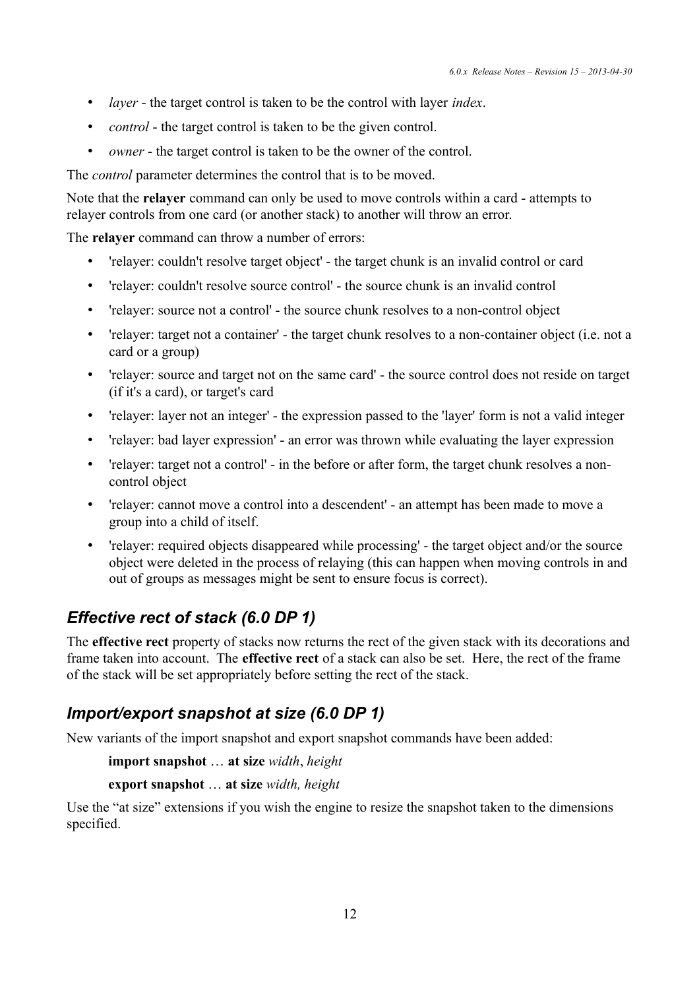- *layer*  the target control is taken to be the control with layer *index*.
- *control* the target control is taken to be the given control.
- *owner* the target control is taken to be the owner of the control.

The *control* parameter determines the control that is to be moved.

Note that the **relayer** command can only be used to move controls within a card - attempts to relayer controls from one card (or another stack) to another will throw an error.

The **relayer** command can throw a number of errors:

- 'relayer: couldn't resolve target object' the target chunk is an invalid control or card
- 'relayer: couldn't resolve source control' the source chunk is an invalid control
- 'relayer: source not a control' the source chunk resolves to a non-control object
- 'relayer: target not a container' the target chunk resolves to a non-container object (i.e. not a card or a group)
- 'relayer: source and target not on the same card' the source control does not reside on target (if it's a card), or target's card
- 'relayer: layer not an integer' the expression passed to the 'layer' form is not a valid integer
- 'relayer: bad layer expression' an error was thrown while evaluating the layer expression
- 'relayer: target not a control' in the before or after form, the target chunk resolves a noncontrol object
- 'relayer: cannot move a control into a descendent' an attempt has been made to move a group into a child of itself.
- 'relayer: required objects disappeared while processing' the target object and/or the source object were deleted in the process of relaying (this can happen when moving controls in and out of groups as messages might be sent to ensure focus is correct).

## *Effective rect of stack (6.0 DP 1)*

The **effective rect** property of stacks now returns the rect of the given stack with its decorations and frame taken into account. The **effective rect** of a stack can also be set. Here, the rect of the frame of the stack will be set appropriately before setting the rect of the stack.

## *Import/export snapshot at size (6.0 DP 1)*

New variants of the import snapshot and export snapshot commands have been added:

**import snapshot** … **at size** *width*, *height*

**export snapshot** … **at size** *width, height*

Use the "at size" extensions if you wish the engine to resize the snapshot taken to the dimensions specified.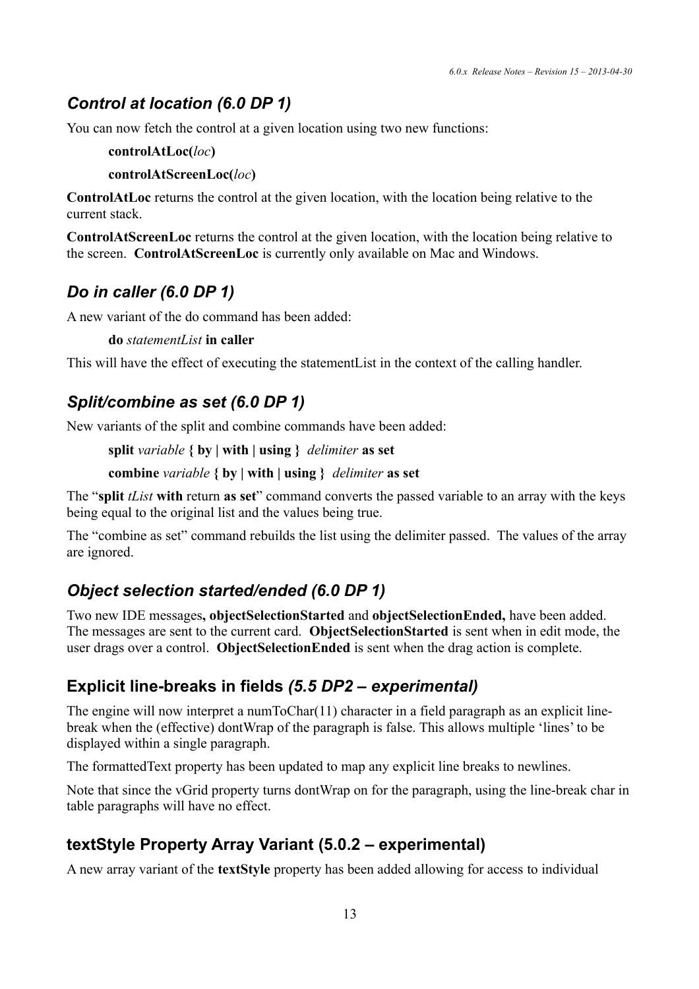## *Control at location (6.0 DP 1)*

You can now fetch the control at a given location using two new functions:

#### **controlAtLoc(***loc***)**

#### **controlAtScreenLoc(***loc***)**

**ControlAtLoc** returns the control at the given location, with the location being relative to the current stack.

**ControlAtScreenLoc** returns the control at the given location, with the location being relative to the screen. **ControlAtScreenLoc** is currently only available on Mac and Windows.

### *Do in caller (6.0 DP 1)*

A new variant of the do command has been added:

**do** *statementList* **in caller**

This will have the effect of executing the statementList in the context of the calling handler.

## *Split/combine as set (6.0 DP 1)*

New variants of the split and combine commands have been added:

**split** *variable* **{ by | with | using }** *delimiter* **as set**

```
combine variable { by | with | using } delimiter as set
```
The "**split** *tList* **with** return **as set**" command converts the passed variable to an array with the keys being equal to the original list and the values being true.

The "combine as set" command rebuilds the list using the delimiter passed. The values of the array are ignored.

## *Object selection started/ended (6.0 DP 1)*

Two new IDE messages**, objectSelectionStarted** and **objectSelectionEnded,** have been added. The messages are sent to the current card. **ObjectSelectionStarted** is sent when in edit mode, the user drags over a control. **ObjectSelectionEnded** is sent when the drag action is complete.

## **Explicit line-breaks in fields** *(5.5 DP2 – experimental)*

The engine will now interpret a numToChar(11) character in a field paragraph as an explicit linebreak when the (effective) dontWrap of the paragraph is false. This allows multiple 'lines' to be displayed within a single paragraph.

The formattedText property has been updated to map any explicit line breaks to newlines.

Note that since the vGrid property turns dontWrap on for the paragraph, using the line-break char in table paragraphs will have no effect.

## **textStyle Property Array Variant (5.0.2 – experimental)**

A new array variant of the **textStyle** property has been added allowing for access to individual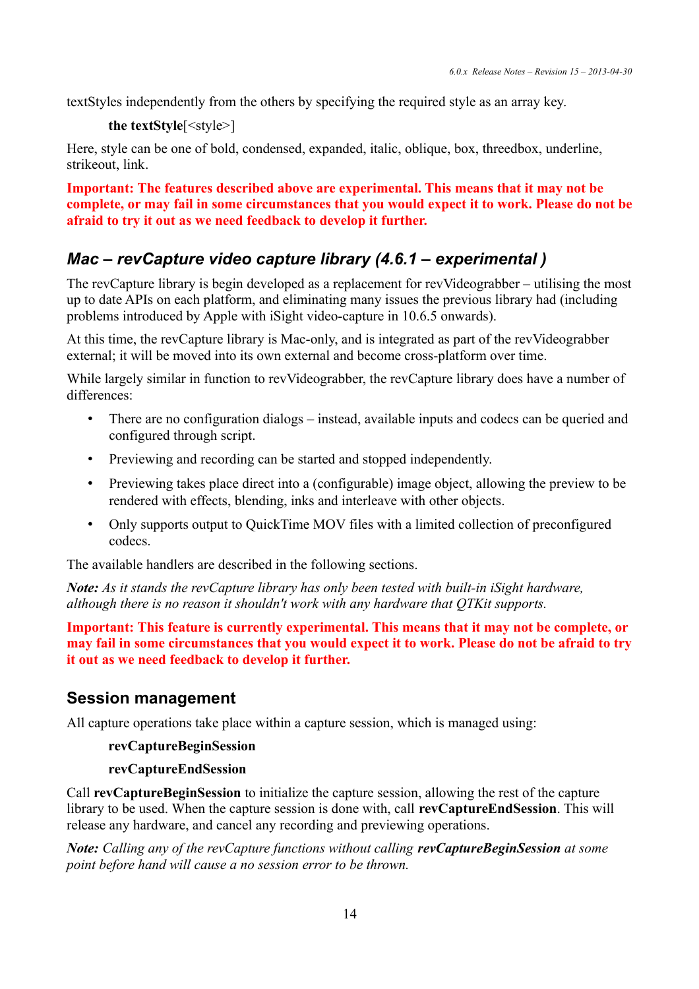textStyles independently from the others by specifying the required style as an array key.

```
the textStyle[<style>]
```
Here, style can be one of bold, condensed, expanded, italic, oblique, box, threedbox, underline, strikeout, link.

**Important: The features described above are experimental. This means that it may not be complete, or may fail in some circumstances that you would expect it to work. Please do not be afraid to try it out as we need feedback to develop it further.**

## *Mac – revCapture video capture library (4.6.1 – experimental )*

The revCapture library is begin developed as a replacement for revVideograbber – utilising the most up to date APIs on each platform, and eliminating many issues the previous library had (including problems introduced by Apple with iSight video-capture in 10.6.5 onwards).

At this time, the revCapture library is Mac-only, and is integrated as part of the revVideograbber external; it will be moved into its own external and become cross-platform over time.

While largely similar in function to revVideograbber, the revCapture library does have a number of differences:

- There are no configuration dialogs instead, available inputs and codecs can be queried and configured through script.
- Previewing and recording can be started and stopped independently.
- Previewing takes place direct into a (configurable) image object, allowing the preview to be rendered with effects, blending, inks and interleave with other objects.
- Only supports output to QuickTime MOV files with a limited collection of preconfigured codecs.

The available handlers are described in the following sections.

*Note: As it stands the revCapture library has only been tested with built-in iSight hardware, although there is no reason it shouldn't work with any hardware that QTKit supports.*

**Important: This feature is currently experimental. This means that it may not be complete, or may fail in some circumstances that you would expect it to work. Please do not be afraid to try it out as we need feedback to develop it further.**

## **Session management**

All capture operations take place within a capture session, which is managed using:

#### **revCaptureBeginSession**

#### **revCaptureEndSession**

Call **revCaptureBeginSession** to initialize the capture session, allowing the rest of the capture library to be used. When the capture session is done with, call **revCaptureEndSession**. This will release any hardware, and cancel any recording and previewing operations.

*Note: Calling any of the revCapture functions without calling revCaptureBeginSession at some point before hand will cause a no session error to be thrown.*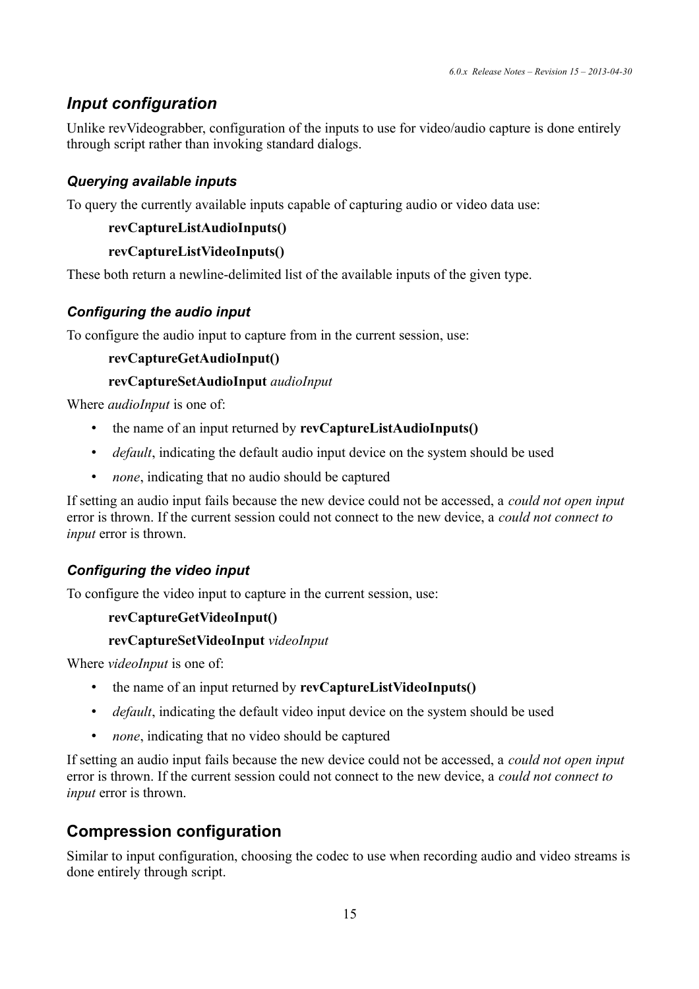## *Input configuration*

Unlike revVideograbber, configuration of the inputs to use for video/audio capture is done entirely through script rather than invoking standard dialogs.

#### *Querying available inputs*

To query the currently available inputs capable of capturing audio or video data use:

#### **revCaptureListAudioInputs()**

#### **revCaptureListVideoInputs()**

These both return a newline-delimited list of the available inputs of the given type.

#### *Configuring the audio input*

To configure the audio input to capture from in the current session, use:

#### **revCaptureGetAudioInput()**

#### **revCaptureSetAudioInput** *audioInput*

Where *audioInput* is one of:

- the name of an input returned by **revCaptureListAudioInputs()**
- *default*, indicating the default audio input device on the system should be used
- *none*, indicating that no audio should be captured

If setting an audio input fails because the new device could not be accessed, a *could not open input* error is thrown. If the current session could not connect to the new device, a *could not connect to input* error is thrown.

#### *Configuring the video input*

To configure the video input to capture in the current session, use:

#### **revCaptureGetVideoInput()**

#### **revCaptureSetVideoInput** *videoInput*

Where *videoInput* is one of:

- the name of an input returned by **revCaptureListVideoInputs()**
- *default*, indicating the default video input device on the system should be used
- *none*, indicating that no video should be captured

If setting an audio input fails because the new device could not be accessed, a *could not open input* error is thrown. If the current session could not connect to the new device, a *could not connect to input* error is thrown.

## **Compression configuration**

Similar to input configuration, choosing the codec to use when recording audio and video streams is done entirely through script.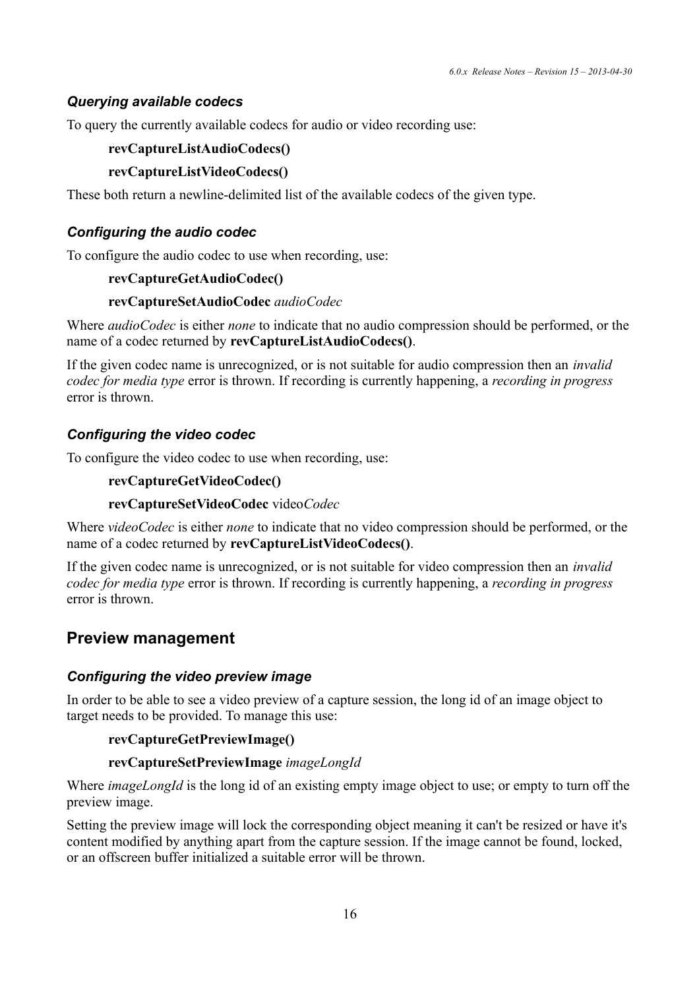#### *Querying available codecs*

To query the currently available codecs for audio or video recording use:

#### **revCaptureListAudioCodecs()**

#### **revCaptureListVideoCodecs()**

These both return a newline-delimited list of the available codecs of the given type.

#### *Configuring the audio codec*

To configure the audio codec to use when recording, use:

#### **revCaptureGetAudioCodec()**

#### **revCaptureSetAudioCodec** *audioCodec*

Where *audioCodec* is either *none* to indicate that no audio compression should be performed, or the name of a codec returned by **revCaptureListAudioCodecs()**.

If the given codec name is unrecognized, or is not suitable for audio compression then an *invalid codec for media type* error is thrown. If recording is currently happening, a *recording in progress* error is thrown.

#### *Configuring the video codec*

To configure the video codec to use when recording, use:

#### **revCaptureGetVideoCodec()**

#### **revCaptureSetVideoCodec** video*Codec*

Where *videoCodec* is either *none* to indicate that no video compression should be performed, or the name of a codec returned by **revCaptureListVideoCodecs()**.

If the given codec name is unrecognized, or is not suitable for video compression then an *invalid codec for media type* error is thrown. If recording is currently happening, a *recording in progress* error is thrown.

#### **Preview management**

#### *Configuring the video preview image*

In order to be able to see a video preview of a capture session, the long id of an image object to target needs to be provided. To manage this use:

#### **revCaptureGetPreviewImage()**

#### **revCaptureSetPreviewImage** *imageLongId*

Where *imageLongId* is the long id of an existing empty image object to use; or empty to turn off the preview image.

Setting the preview image will lock the corresponding object meaning it can't be resized or have it's content modified by anything apart from the capture session. If the image cannot be found, locked, or an offscreen buffer initialized a suitable error will be thrown.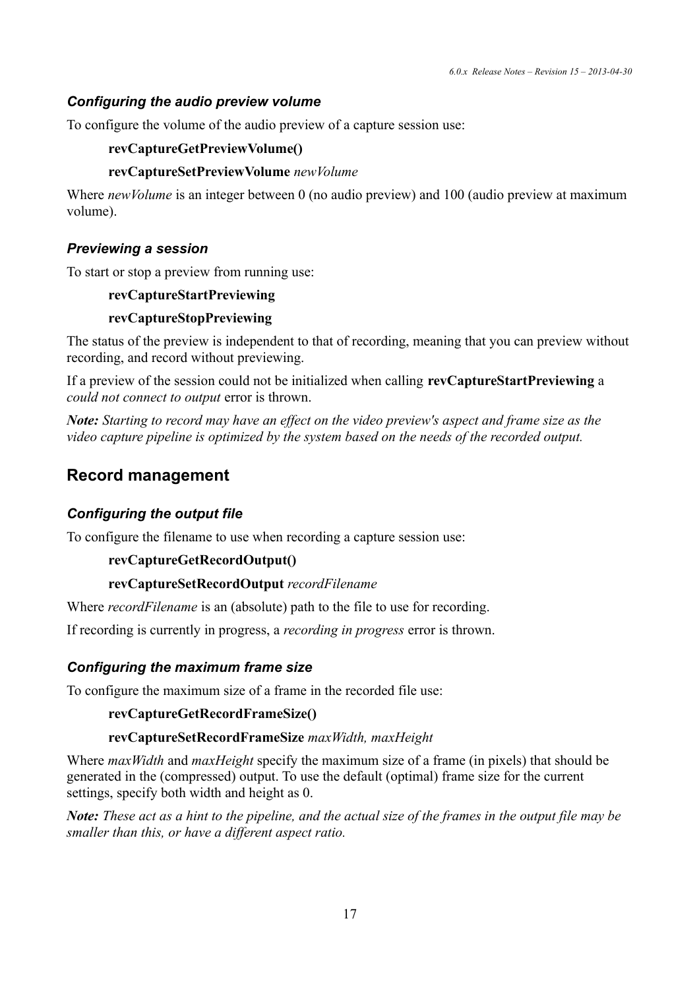#### *Configuring the audio preview volume*

To configure the volume of the audio preview of a capture session use:

#### **revCaptureGetPreviewVolume()**

#### **revCaptureSetPreviewVolume** *newVolume*

Where *newVolume* is an integer between 0 (no audio preview) and 100 (audio preview at maximum volume).

#### *Previewing a session*

To start or stop a preview from running use:

#### **revCaptureStartPreviewing**

#### **revCaptureStopPreviewing**

The status of the preview is independent to that of recording, meaning that you can preview without recording, and record without previewing.

If a preview of the session could not be initialized when calling **revCaptureStartPreviewing** a *could not connect to output* error is thrown.

*Note: Starting to record may have an effect on the video preview's aspect and frame size as the video capture pipeline is optimized by the system based on the needs of the recorded output.*

### **Record management**

#### *Configuring the output file*

To configure the filename to use when recording a capture session use:

#### **revCaptureGetRecordOutput()**

#### **revCaptureSetRecordOutput** *recordFilename*

Where *recordFilename* is an (absolute) path to the file to use for recording.

If recording is currently in progress, a *recording in progress* error is thrown.

#### *Configuring the maximum frame size*

To configure the maximum size of a frame in the recorded file use:

#### **revCaptureGetRecordFrameSize()**

#### **revCaptureSetRecordFrameSize** *maxWidth, maxHeight*

Where *maxWidth* and *maxHeight* specify the maximum size of a frame (in pixels) that should be generated in the (compressed) output. To use the default (optimal) frame size for the current settings, specify both width and height as 0.

*Note: These act as a hint to the pipeline, and the actual size of the frames in the output file may be smaller than this, or have a different aspect ratio.*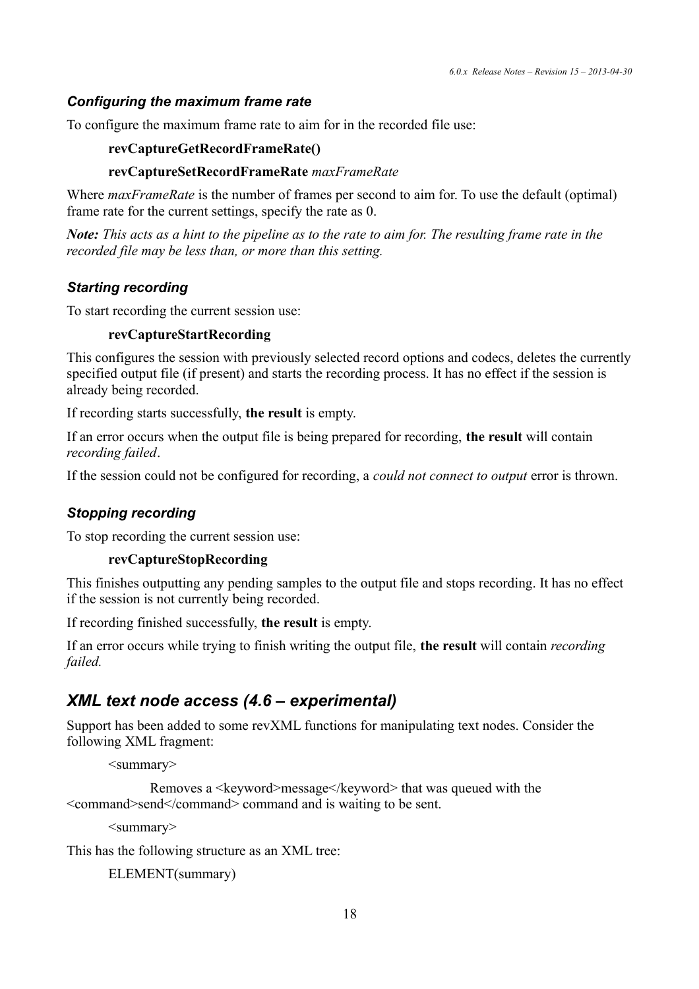#### *Configuring the maximum frame rate*

To configure the maximum frame rate to aim for in the recorded file use:

#### **revCaptureGetRecordFrameRate()**

#### **revCaptureSetRecordFrameRate** *maxFrameRate*

Where *maxFrameRate* is the number of frames per second to aim for. To use the default (optimal) frame rate for the current settings, specify the rate as 0.

*Note: This acts as a hint to the pipeline as to the rate to aim for. The resulting frame rate in the recorded file may be less than, or more than this setting.*

#### *Starting recording*

To start recording the current session use:

#### **revCaptureStartRecording**

This configures the session with previously selected record options and codecs, deletes the currently specified output file (if present) and starts the recording process. It has no effect if the session is already being recorded.

If recording starts successfully, **the result** is empty.

If an error occurs when the output file is being prepared for recording, **the result** will contain *recording failed*.

If the session could not be configured for recording, a *could not connect to output* error is thrown.

#### *Stopping recording*

To stop recording the current session use:

#### **revCaptureStopRecording**

This finishes outputting any pending samples to the output file and stops recording. It has no effect if the session is not currently being recorded.

If recording finished successfully, **the result** is empty.

If an error occurs while trying to finish writing the output file, **the result** will contain *recording failed.*

### *XML text node access (4.6 – experimental)*

Support has been added to some revXML functions for manipulating text nodes. Consider the following XML fragment:

<summary>

```
Removes a <keyword>message</keyword> that was queued with the
<command>send</command> command and is waiting to be sent.
```
<summary>

This has the following structure as an XML tree:

```
ELEMENT(summary)
```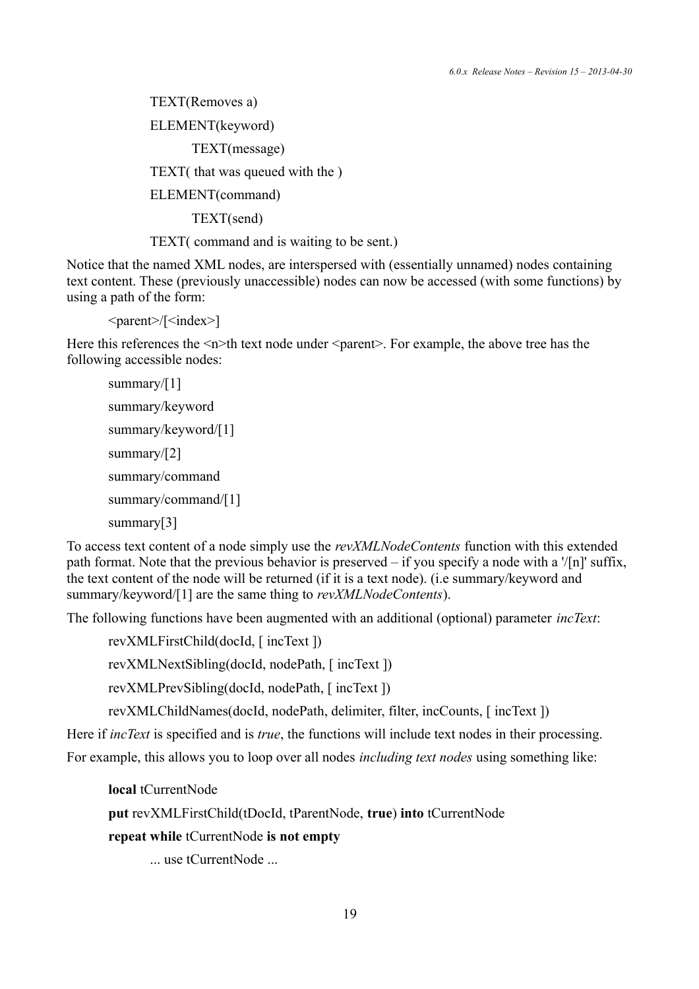TEXT(Removes a) ELEMENT(keyword) TEXT(message) TEXT( that was queued with the ) ELEMENT(command) TEXT(send)

TEXT( command and is waiting to be sent.)

Notice that the named XML nodes, are interspersed with (essentially unnamed) nodes containing text content. These (previously unaccessible) nodes can now be accessed (with some functions) by using a path of the form:

<parent>/[<index>]

Here this references the  $\leq n \geq th$  text node under  $\leq$  parent  $\geq$ . For example, the above tree has the following accessible nodes:

```
summary/[1]
summary/keyword
summary/keyword/[1]
summary/[2]
summary/command
summary/command/[1]
summary[3]
```
To access text content of a node simply use the *revXMLNodeContents* function with this extended path format. Note that the previous behavior is preserved – if you specify a node with a '/[n]' suffix, the text content of the node will be returned (if it is a text node). (i.e summary/keyword and summary/keyword/[1] are the same thing to *revXMLNodeContents*).

The following functions have been augmented with an additional (optional) parameter *incText*:

revXMLFirstChild(docId, [ incText ])

revXMLNextSibling(docId, nodePath, [ incText ])

revXMLPrevSibling(docId, nodePath, [ incText ])

revXMLChildNames(docId, nodePath, delimiter, filter, incCounts, [ incText ])

Here if *incText* is specified and is *true*, the functions will include text nodes in their processing.

For example, this allows you to loop over all nodes *including text nodes* using something like:

**local** tCurrentNode

**put** revXMLFirstChild(tDocId, tParentNode, **true**) **into** tCurrentNode

**repeat while** tCurrentNode **is not empty**

... use tCurrentNode ...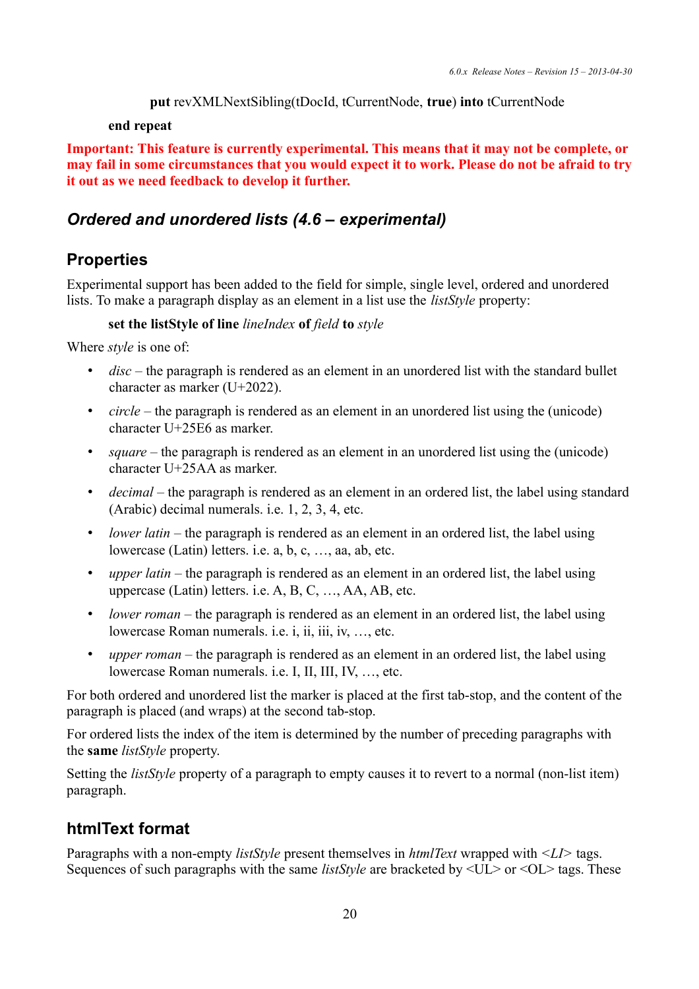```
put revXMLNextSibling(tDocId, tCurrentNode, true) into tCurrentNode
```
#### **end repeat**

**Important: This feature is currently experimental. This means that it may not be complete, or may fail in some circumstances that you would expect it to work. Please do not be afraid to try it out as we need feedback to develop it further.**

## *Ordered and unordered lists (4.6 – experimental)*

## **Properties**

Experimental support has been added to the field for simple, single level, ordered and unordered lists. To make a paragraph display as an element in a list use the *listStyle* property:

#### **set the listStyle of line** *lineIndex* **of** *field* **to** *style*

Where *style* is one of:

- *disc* the paragraph is rendered as an element in an unordered list with the standard bullet character as marker (U+2022).
- *circle* the paragraph is rendered as an element in an unordered list using the (unicode) character U+25E6 as marker.
- *square* the paragraph is rendered as an element in an unordered list using the (unicode) character U+25AA as marker.
- *decimal* the paragraph is rendered as an element in an ordered list, the label using standard (Arabic) decimal numerals. i.e. 1, 2, 3, 4, etc.
- *lower latin* the paragraph is rendered as an element in an ordered list, the label using lowercase (Latin) letters. i.e. a, b, c, …, aa, ab, etc.
- *upper latin* the paragraph is rendered as an element in an ordered list, the label using uppercase (Latin) letters. i.e. A, B, C, …, AA, AB, etc.
- *lower roman* the paragraph is rendered as an element in an ordered list, the label using lowercase Roman numerals. i.e. i, ii, iii, iv, …, etc.
- *upper roman* the paragraph is rendered as an element in an ordered list, the label using lowercase Roman numerals. i.e. I, II, III, IV, …, etc.

For both ordered and unordered list the marker is placed at the first tab-stop, and the content of the paragraph is placed (and wraps) at the second tab-stop.

For ordered lists the index of the item is determined by the number of preceding paragraphs with the **same** *listStyle* property.

Setting the *listStyle* property of a paragraph to empty causes it to revert to a normal (non-list item) paragraph.

## **htmlText format**

Paragraphs with a non-empty *listStyle* present themselves in *htmlText* wrapped with *<LI>* tags. Sequences of such paragraphs with the same *listStyle* are bracketed by  $\langle UL \rangle$  or  $\langle OL \rangle$  tags. These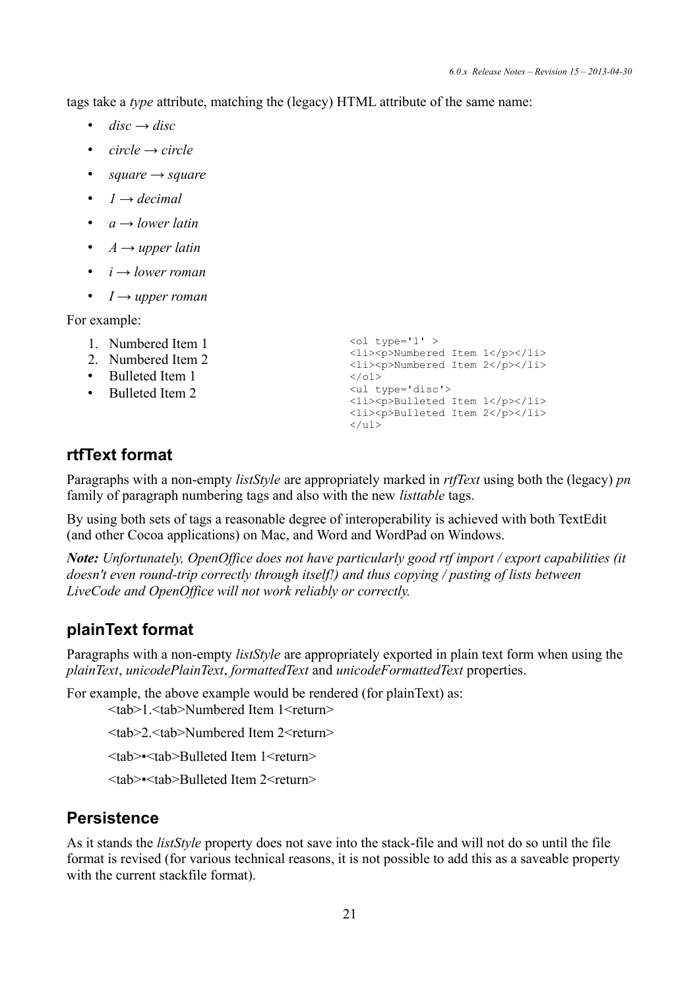tags take a *type* attribute, matching the (legacy) HTML attribute of the same name:

- $disc \rightarrow disc$
- *circle → circle*
- *square → square*
- $\bullet$  *1*  $\rightarrow$  *decimal*
- *a → lower latin*
- *A → upper latin*
- *i → lower roman*
- *I → upper roman*

For example:

- 1. Numbered Item 1
- 2. Numbered Item 2
- Bulleted Item 1
- Bulleted Item 2

```
\left\langle \text{o}1 \text{ type} = '1' \right\rangle<li><p>Numbered Item 1</p></li>
<li><p>Numbered Item 2</p></li>
\langle/\capl><ul type='disc'>
 <li><p>Bulleted Item 1</p></li>
 <li><p>Bulleted Item 2</p></li>
 \langle/ul>
```
## **rtfText format**

Paragraphs with a non-empty *listStyle* are appropriately marked in *rtfText* using both the (legacy) *pn* family of paragraph numbering tags and also with the new *listtable* tags.

By using both sets of tags a reasonable degree of interoperability is achieved with both TextEdit (and other Cocoa applications) on Mac, and Word and WordPad on Windows.

*Note: Unfortunately, OpenOffice does not have particularly good rtf import / export capabilities (it doesn't even round-trip correctly through itself!) and thus copying / pasting of lists between LiveCode and OpenOffice will not work reliably or correctly.*

## **plainText format**

Paragraphs with a non-empty *listStyle* are appropriately exported in plain text form when using the *plainText*, *unicodePlainText*, *formattedText* and *unicodeFormattedText* properties.

For example, the above example would be rendered (for plainText) as:

<tab>1.<tab>Numbered Item 1<return>

<tab>2.<tab>Numbered Item 2<return>

<tab>•<tab>Bulleted Item 1<return>

<tab>•<tab>Bulleted Item 2<return>

## **Persistence**

As it stands the *listStyle* property does not save into the stack-file and will not do so until the file format is revised (for various technical reasons, it is not possible to add this as a saveable property with the current stackfile format).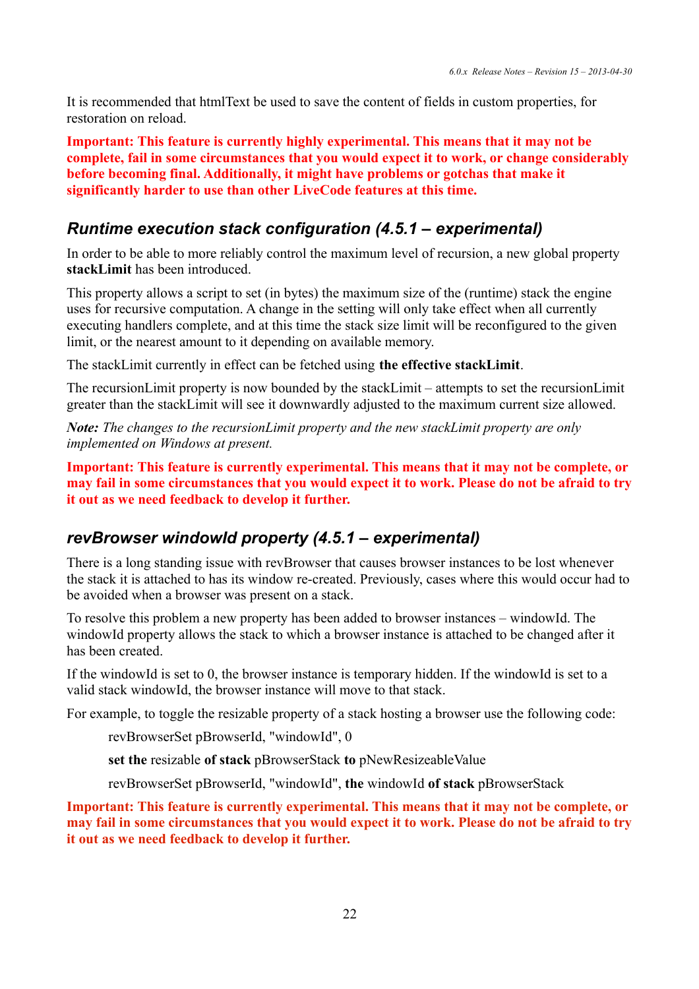It is recommended that htmlText be used to save the content of fields in custom properties, for restoration on reload.

**Important: This feature is currently highly experimental. This means that it may not be complete, fail in some circumstances that you would expect it to work, or change considerably before becoming final. Additionally, it might have problems or gotchas that make it significantly harder to use than other LiveCode features at this time.**

## *Runtime execution stack configuration (4.5.1 – experimental)*

In order to be able to more reliably control the maximum level of recursion, a new global property **stackLimit** has been introduced.

This property allows a script to set (in bytes) the maximum size of the (runtime) stack the engine uses for recursive computation. A change in the setting will only take effect when all currently executing handlers complete, and at this time the stack size limit will be reconfigured to the given limit, or the nearest amount to it depending on available memory.

The stackLimit currently in effect can be fetched using **the effective stackLimit**.

The recursionLimit property is now bounded by the stackLimit – attempts to set the recursionLimit greater than the stackLimit will see it downwardly adjusted to the maximum current size allowed.

*Note: The changes to the recursionLimit property and the new stackLimit property are only implemented on Windows at present.*

**Important: This feature is currently experimental. This means that it may not be complete, or may fail in some circumstances that you would expect it to work. Please do not be afraid to try it out as we need feedback to develop it further.**

## *revBrowser windowId property (4.5.1 – experimental)*

There is a long standing issue with revBrowser that causes browser instances to be lost whenever the stack it is attached to has its window re-created. Previously, cases where this would occur had to be avoided when a browser was present on a stack.

To resolve this problem a new property has been added to browser instances – windowId. The windowId property allows the stack to which a browser instance is attached to be changed after it has been created.

If the windowId is set to 0, the browser instance is temporary hidden. If the windowId is set to a valid stack windowId, the browser instance will move to that stack.

For example, to toggle the resizable property of a stack hosting a browser use the following code:

revBrowserSet pBrowserId, "windowId", 0

**set the** resizable **of stack** pBrowserStack **to** pNewResizeableValue

revBrowserSet pBrowserId, "windowId", **the** windowId **of stack** pBrowserStack

**Important: This feature is currently experimental. This means that it may not be complete, or may fail in some circumstances that you would expect it to work. Please do not be afraid to try it out as we need feedback to develop it further.**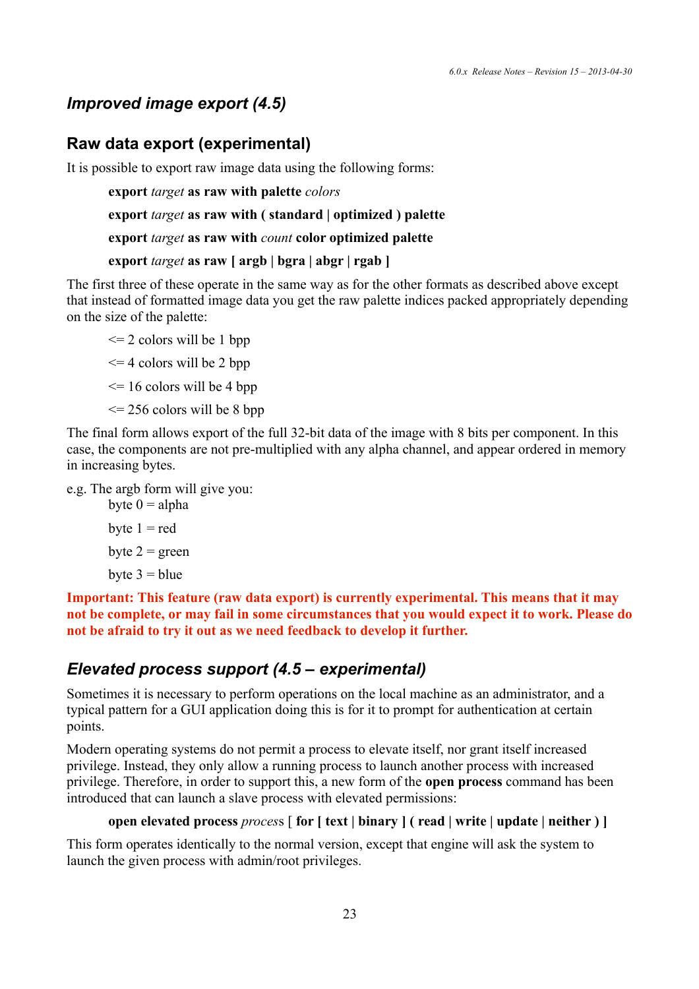## *Improved image export (4.5)*

### **Raw data export (experimental)**

It is possible to export raw image data using the following forms:

**export** *target* **as raw with palette** *colors*

**export** *target* **as raw with ( standard | optimized ) palette**

**export** *target* **as raw with** *count* **color optimized palette**

#### **export** *target* **as raw [ argb | bgra | abgr | rgab ]**

The first three of these operate in the same way as for the other formats as described above except that instead of formatted image data you get the raw palette indices packed appropriately depending on the size of the palette:

 $\leq$  2 colors will be 1 bpp

 $\leq$  4 colors will be 2 bpp

 $\leq$  16 colors will be 4 bpp

 $\leq$  256 colors will be 8 bpp

The final form allows export of the full 32-bit data of the image with 8 bits per component. In this case, the components are not pre-multiplied with any alpha channel, and appear ordered in memory in increasing bytes.

e.g. The argb form will give you:

byte  $0 = alpha$ byte  $1 = red$ byte  $2 =$  green byte  $3 =$  blue

**Important: This feature (raw data export) is currently experimental. This means that it may not be complete, or may fail in some circumstances that you would expect it to work. Please do not be afraid to try it out as we need feedback to develop it further.**

### *Elevated process support (4.5 – experimental)*

Sometimes it is necessary to perform operations on the local machine as an administrator, and a typical pattern for a GUI application doing this is for it to prompt for authentication at certain points.

Modern operating systems do not permit a process to elevate itself, nor grant itself increased privilege. Instead, they only allow a running process to launch another process with increased privilege. Therefore, in order to support this, a new form of the **open process** command has been introduced that can launch a slave process with elevated permissions:

#### **open elevated process** *proces*s [ **for [ text | binary ] ( read | write | update | neither ) ]**

This form operates identically to the normal version, except that engine will ask the system to launch the given process with admin/root privileges.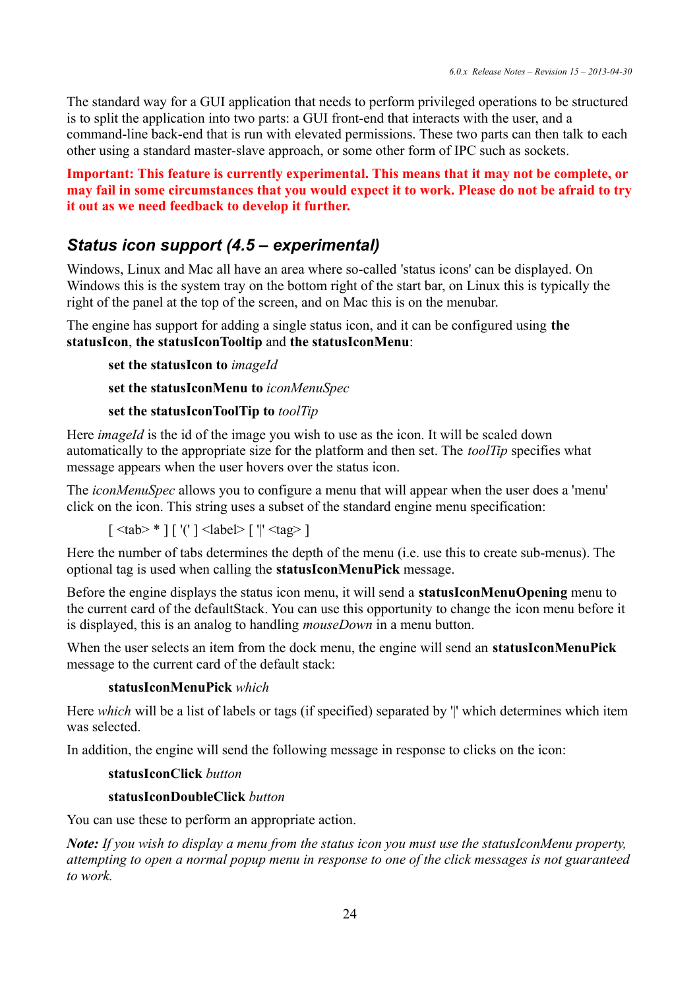The standard way for a GUI application that needs to perform privileged operations to be structured is to split the application into two parts: a GUI front-end that interacts with the user, and a command-line back-end that is run with elevated permissions. These two parts can then talk to each other using a standard master-slave approach, or some other form of IPC such as sockets.

**Important: This feature is currently experimental. This means that it may not be complete, or may fail in some circumstances that you would expect it to work. Please do not be afraid to try it out as we need feedback to develop it further.**

## *Status icon support (4.5 – experimental)*

Windows, Linux and Mac all have an area where so-called 'status icons' can be displayed. On Windows this is the system tray on the bottom right of the start bar, on Linux this is typically the right of the panel at the top of the screen, and on Mac this is on the menubar.

The engine has support for adding a single status icon, and it can be configured using **the statusIcon**, **the statusIconTooltip** and **the statusIconMenu**:

```
set the statusIcon to imageId
```
**set the statusIconMenu to** *iconMenuSpec*

#### **set the statusIconToolTip to** *toolTip*

Here *imageId* is the id of the image you wish to use as the icon. It will be scaled down automatically to the appropriate size for the platform and then set. The *toolTip* specifies what message appears when the user hovers over the status icon.

The *iconMenuSpec* allows you to configure a menu that will appear when the user does a 'menu' click on the icon. This string uses a subset of the standard engine menu specification:

[ <tab> \* ] [ '(' ] <label> [ '|' <tag> ]

Here the number of tabs determines the depth of the menu (i.e. use this to create sub-menus). The optional tag is used when calling the **statusIconMenuPick** message.

Before the engine displays the status icon menu, it will send a **statusIconMenuOpening** menu to the current card of the defaultStack. You can use this opportunity to change the icon menu before it is displayed, this is an analog to handling *mouseDown* in a menu button.

When the user selects an item from the dock menu, the engine will send an **statusIconMenuPick** message to the current card of the default stack:

#### **statusIconMenuPick** *which*

Here *which* will be a list of labels or tags (if specified) separated by '|' which determines which item was selected.

In addition, the engine will send the following message in response to clicks on the icon:

#### **statusIconClick** *button*

#### **statusIconDoubleClick** *button*

You can use these to perform an appropriate action.

*Note: If you wish to display a menu from the status icon you must use the statusIconMenu property, attempting to open a normal popup menu in response to one of the click messages is not guaranteed to work.*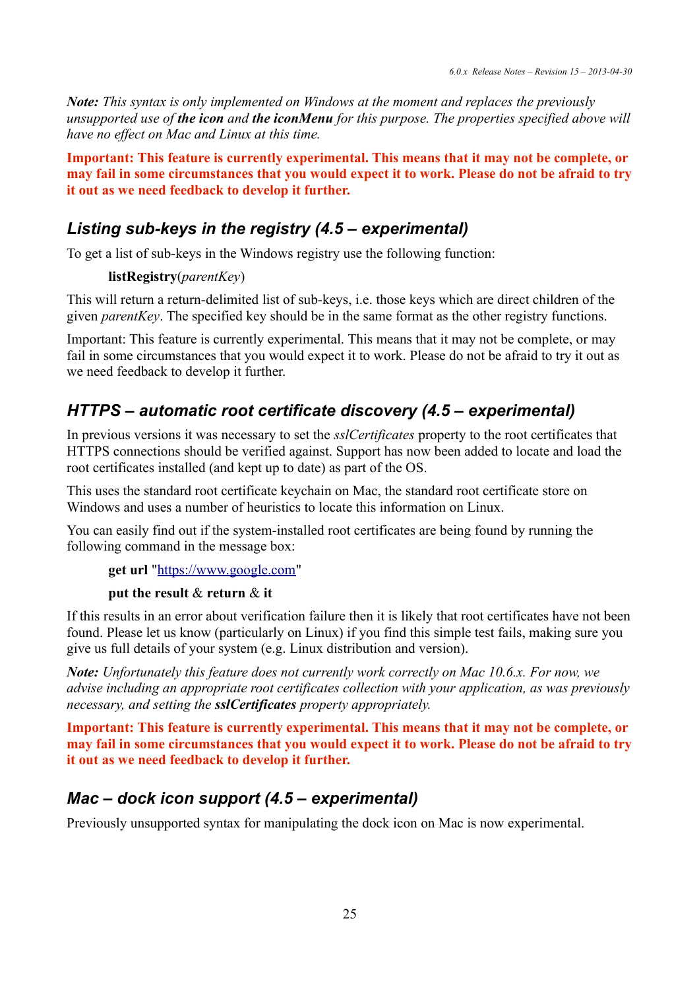*Note: This syntax is only implemented on Windows at the moment and replaces the previously unsupported use of the icon and the iconMenu for this purpose. The properties specified above will have no effect on Mac and Linux at this time.*

**Important: This feature is currently experimental. This means that it may not be complete, or may fail in some circumstances that you would expect it to work. Please do not be afraid to try it out as we need feedback to develop it further.**

### *Listing sub-keys in the registry (4.5 – experimental)*

To get a list of sub-keys in the Windows registry use the following function:

#### **listRegistry**(*parentKey*)

This will return a return-delimited list of sub-keys, i.e. those keys which are direct children of the given *parentKey*. The specified key should be in the same format as the other registry functions.

Important: This feature is currently experimental. This means that it may not be complete, or may fail in some circumstances that you would expect it to work. Please do not be afraid to try it out as we need feedback to develop it further.

## *HTTPS – automatic root certificate discovery (4.5 – experimental)*

In previous versions it was necessary to set the *sslCertificates* property to the root certificates that HTTPS connections should be verified against. Support has now been added to locate and load the root certificates installed (and kept up to date) as part of the OS.

This uses the standard root certificate keychain on Mac, the standard root certificate store on Windows and uses a number of heuristics to locate this information on Linux.

You can easily find out if the system-installed root certificates are being found by running the following command in the message box:

**get url** ["https://www.google.com"](https://www.google.com/)

#### **put the result** & **return** & **it**

If this results in an error about verification failure then it is likely that root certificates have not been found. Please let us know (particularly on Linux) if you find this simple test fails, making sure you give us full details of your system (e.g. Linux distribution and version).

*Note: Unfortunately this feature does not currently work correctly on Mac 10.6.x. For now, we advise including an appropriate root certificates collection with your application, as was previously necessary, and setting the sslCertificates property appropriately.*

**Important: This feature is currently experimental. This means that it may not be complete, or may fail in some circumstances that you would expect it to work. Please do not be afraid to try it out as we need feedback to develop it further.**

### *Mac – dock icon support (4.5 – experimental)*

Previously unsupported syntax for manipulating the dock icon on Mac is now experimental.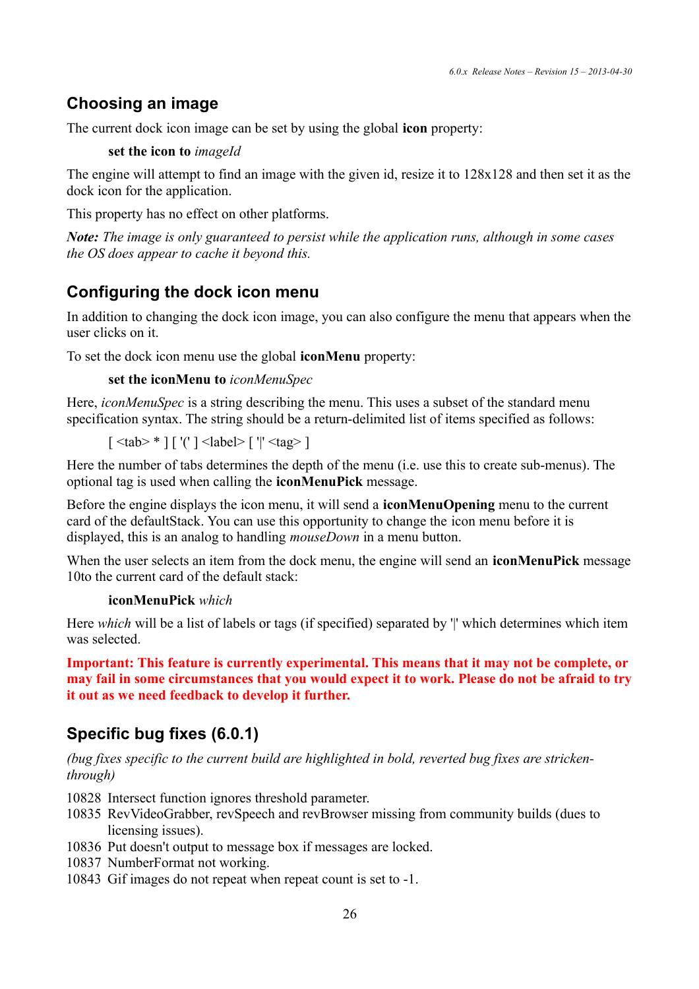## **Choosing an image**

The current dock icon image can be set by using the global **icon** property:

**set the icon to** *imageId*

The engine will attempt to find an image with the given id, resize it to 128x128 and then set it as the dock icon for the application.

This property has no effect on other platforms.

*Note: The image is only guaranteed to persist while the application runs, although in some cases the OS does appear to cache it beyond this.*

### **Configuring the dock icon menu**

In addition to changing the dock icon image, you can also configure the menu that appears when the user clicks on it.

To set the dock icon menu use the global **iconMenu** property:

```
set the iconMenu to iconMenuSpec
```
Here, *iconMenuSpec* is a string describing the menu. This uses a subset of the standard menu specification syntax. The string should be a return-delimited list of items specified as follows:

 $\lceil$  <tab> \* ]  $\lceil$  '('  $\rceil$  <label>  $\lceil$  '|' <tag>  $\rceil$ 

Here the number of tabs determines the depth of the menu (i.e. use this to create sub-menus). The optional tag is used when calling the **iconMenuPick** message.

Before the engine displays the icon menu, it will send a **iconMenuOpening** menu to the current card of the defaultStack. You can use this opportunity to change the icon menu before it is displayed, this is an analog to handling *mouseDown* in a menu button.

When the user selects an item from the dock menu, the engine will send an **iconMenuPick** message 10to the current card of the default stack:

#### **iconMenuPick** *which*

Here *which* will be a list of labels or tags (if specified) separated by '' which determines which item was selected.

**Important: This feature is currently experimental. This means that it may not be complete, or may fail in some circumstances that you would expect it to work. Please do not be afraid to try it out as we need feedback to develop it further.**

### **Specific bug fixes (6.0.1)**

*(bug fixes specific to the current build are highlighted in bold, reverted bug fixes are strickenthrough)*

10828 Intersect function ignores threshold parameter.

- 10835 RevVideoGrabber, revSpeech and revBrowser missing from community builds (dues to licensing issues).
- 10836 Put doesn't output to message box if messages are locked.
- 10837 NumberFormat not working.
- 10843 Gif images do not repeat when repeat count is set to -1.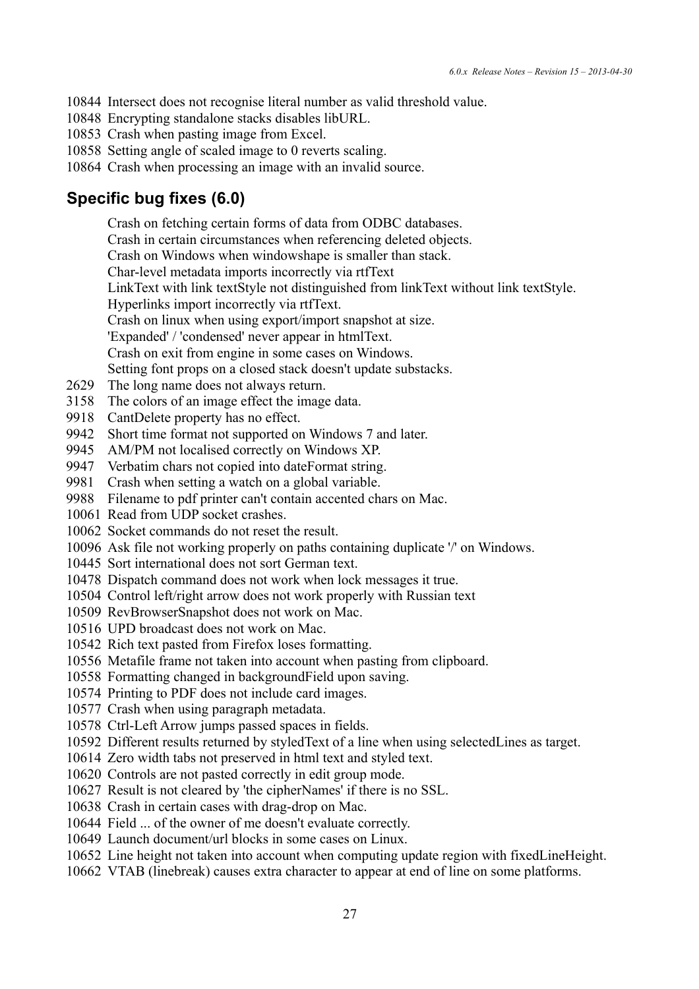- Intersect does not recognise literal number as valid threshold value.
- Encrypting standalone stacks disables libURL.
- Crash when pasting image from Excel.
- Setting angle of scaled image to 0 reverts scaling.
- Crash when processing an image with an invalid source.

## **Specific bug fixes (6.0)**

- Crash on fetching certain forms of data from ODBC databases.
- Crash in certain circumstances when referencing deleted objects.
- Crash on Windows when windowshape is smaller than stack.
- Char-level metadata imports incorrectly via rtfText
- LinkText with link textStyle not distinguished from linkText without link textStyle.
- Hyperlinks import incorrectly via rtfText.
- Crash on linux when using export/import snapshot at size.
- 'Expanded' / 'condensed' never appear in htmlText.
- Crash on exit from engine in some cases on Windows.
- Setting font props on a closed stack doesn't update substacks.
- The long name does not always return.
- The colors of an image effect the image data.
- CantDelete property has no effect.
- Short time format not supported on Windows 7 and later.
- AM/PM not localised correctly on Windows XP.
- Verbatim chars not copied into dateFormat string.
- Crash when setting a watch on a global variable.
- Filename to pdf printer can't contain accented chars on Mac.
- Read from UDP socket crashes.
- Socket commands do not reset the result.
- Ask file not working properly on paths containing duplicate '/' on Windows.
- Sort international does not sort German text.
- Dispatch command does not work when lock messages it true.
- Control left/right arrow does not work properly with Russian text
- RevBrowserSnapshot does not work on Mac.
- UPD broadcast does not work on Mac.
- Rich text pasted from Firefox loses formatting.
- Metafile frame not taken into account when pasting from clipboard.
- Formatting changed in backgroundField upon saving.
- Printing to PDF does not include card images.
- Crash when using paragraph metadata.
- Ctrl-Left Arrow jumps passed spaces in fields.
- Different results returned by styledText of a line when using selectedLines as target.
- Zero width tabs not preserved in html text and styled text.
- Controls are not pasted correctly in edit group mode.
- Result is not cleared by 'the cipherNames' if there is no SSL.
- Crash in certain cases with drag-drop on Mac.
- Field ... of the owner of me doesn't evaluate correctly.
- Launch document/url blocks in some cases on Linux.
- Line height not taken into account when computing update region with fixedLineHeight.
- VTAB (linebreak) causes extra character to appear at end of line on some platforms.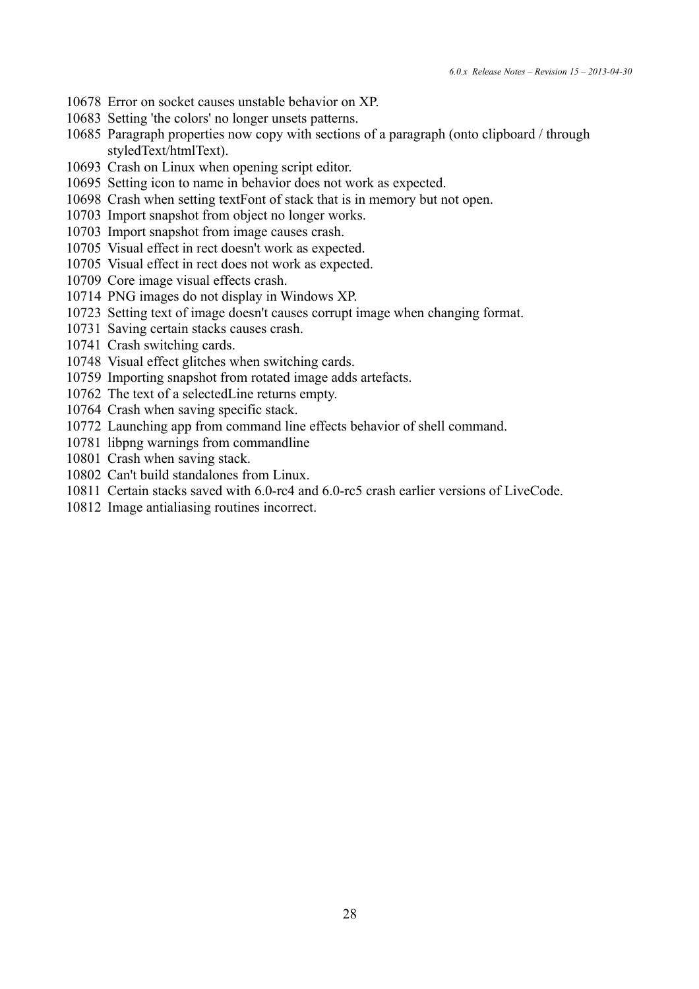- Error on socket causes unstable behavior on XP.
- Setting 'the colors' no longer unsets patterns.
- Paragraph properties now copy with sections of a paragraph (onto clipboard / through styledText/htmlText).
- Crash on Linux when opening script editor.
- Setting icon to name in behavior does not work as expected.
- Crash when setting textFont of stack that is in memory but not open.
- Import snapshot from object no longer works.
- Import snapshot from image causes crash.
- Visual effect in rect doesn't work as expected.
- Visual effect in rect does not work as expected.
- Core image visual effects crash.
- PNG images do not display in Windows XP.
- Setting text of image doesn't causes corrupt image when changing format.
- Saving certain stacks causes crash.
- Crash switching cards.
- Visual effect glitches when switching cards.
- Importing snapshot from rotated image adds artefacts.
- The text of a selectedLine returns empty.
- Crash when saving specific stack.
- Launching app from command line effects behavior of shell command.
- libpng warnings from commandline
- Crash when saving stack.
- Can't build standalones from Linux.
- Certain stacks saved with 6.0-rc4 and 6.0-rc5 crash earlier versions of LiveCode.
- Image antialiasing routines incorrect.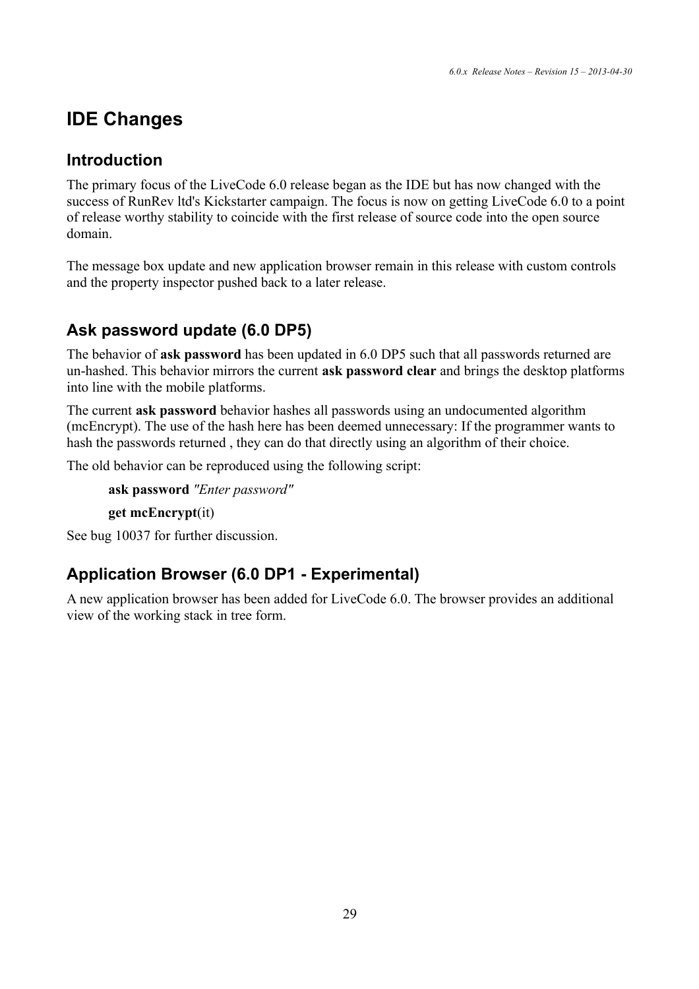# **IDE Changes**

## **Introduction**

The primary focus of the LiveCode 6.0 release began as the IDE but has now changed with the success of RunRev ltd's Kickstarter campaign. The focus is now on getting LiveCode 6.0 to a point of release worthy stability to coincide with the first release of source code into the open source domain.

The message box update and new application browser remain in this release with custom controls and the property inspector pushed back to a later release.

## **Ask password update (6.0 DP5)**

The behavior of **ask password** has been updated in 6.0 DP5 such that all passwords returned are un-hashed. This behavior mirrors the current **ask password clear** and brings the desktop platforms into line with the mobile platforms.

The current **ask password** behavior hashes all passwords using an undocumented algorithm (mcEncrypt). The use of the hash here has been deemed unnecessary: If the programmer wants to hash the passwords returned , they can do that directly using an algorithm of their choice.

The old behavior can be reproduced using the following script:

**ask password** *"Enter password"*

**get mcEncrypt**(it)

See bug 10037 for further discussion.

## **Application Browser (6.0 DP1 - Experimental)**

A new application browser has been added for LiveCode 6.0. The browser provides an additional view of the working stack in tree form.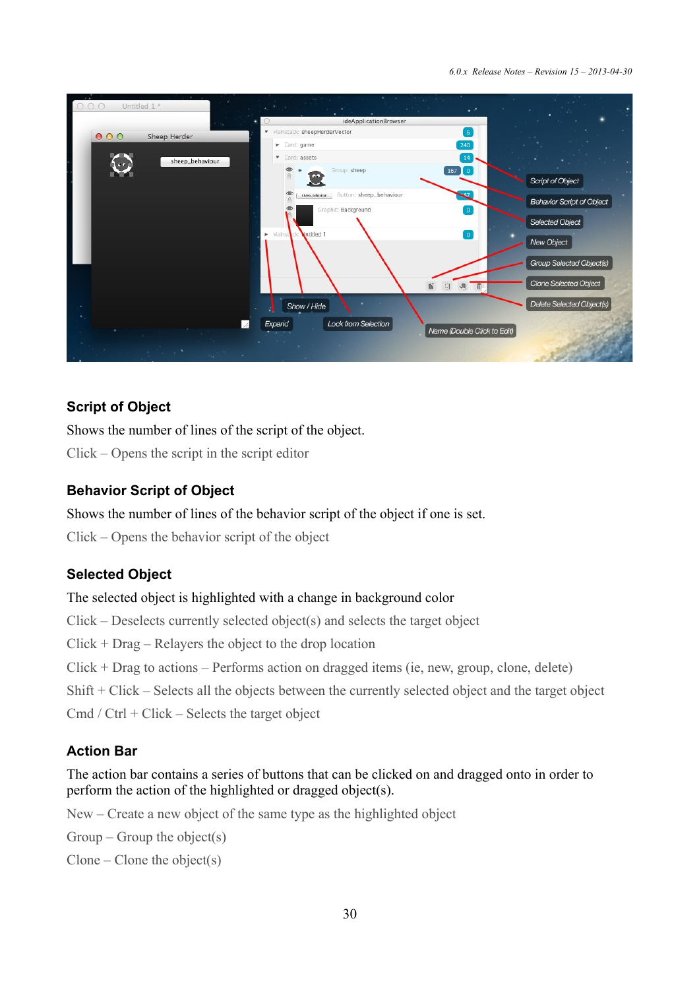*6.0.x Release Notes – Revision 15 – 2013-04-30*

| Untitled 1 *<br>00         | $\mathcal{H}_{\mathcal{A}}$ , $\mathcal{A}_{\mathcal{A}}$<br>. . |                                  |
|----------------------------|------------------------------------------------------------------|----------------------------------|
|                            | ideApplicationBrowser                                            |                                  |
| 000<br><b>Sheep Herder</b> | ▼ Mainstack: sheepHerderVector<br>6                              |                                  |
|                            | Card: game<br>240                                                |                                  |
| sheep_behaviour            | Card: assets<br>14                                               |                                  |
|                            | $167$ 0<br>$\oplus$<br>Group: sheep<br>$\bigcap$<br>169          |                                  |
|                            |                                                                  | Script of Object                 |
|                            | sharp_tehaisur Button: sheep_behaviour<br>●                      | <b>Behavior Script of Object</b> |
|                            | Graphic: Background<br>œ                                         |                                  |
|                            |                                                                  | Selected Object                  |
|                            | Intitled 1<br>Mainstrck:<br>$\blacktriangleright$<br>് വ         |                                  |
|                            |                                                                  | New Object                       |
|                            |                                                                  | Group Selected Object(s)         |
|                            |                                                                  |                                  |
|                            |                                                                  | Clone Selected Object            |
|                            |                                                                  | Delete Selected Object(s)        |
|                            | Show / Hide                                                      |                                  |
|                            | Lock from Selection<br>Expand                                    |                                  |
|                            | Name (Double Click to Edit)                                      |                                  |
| <b>Contract Manager</b>    |                                                                  |                                  |
|                            |                                                                  |                                  |

### **Script of Object**

Shows the number of lines of the script of the object.

Click – Opens the script in the script editor

### **Behavior Script of Object**

Shows the number of lines of the behavior script of the object if one is set.

Click – Opens the behavior script of the object

## **Selected Object**

### The selected object is highlighted with a change in background color

Click – Deselects currently selected object(s) and selects the target object

 $Click + Drag - Relayers the object to the drop location$ 

Click + Drag to actions – Performs action on dragged items (ie, new, group, clone, delete)

Shift + Click – Selects all the objects between the currently selected object and the target object

Cmd / Ctrl + Click – Selects the target object

## **Action Bar**

The action bar contains a series of buttons that can be clicked on and dragged onto in order to perform the action of the highlighted or dragged object(s).

New – Create a new object of the same type as the highlighted object

 $Group - Group the object(s)$ 

 $C$ lone –  $C$ lone the object(s)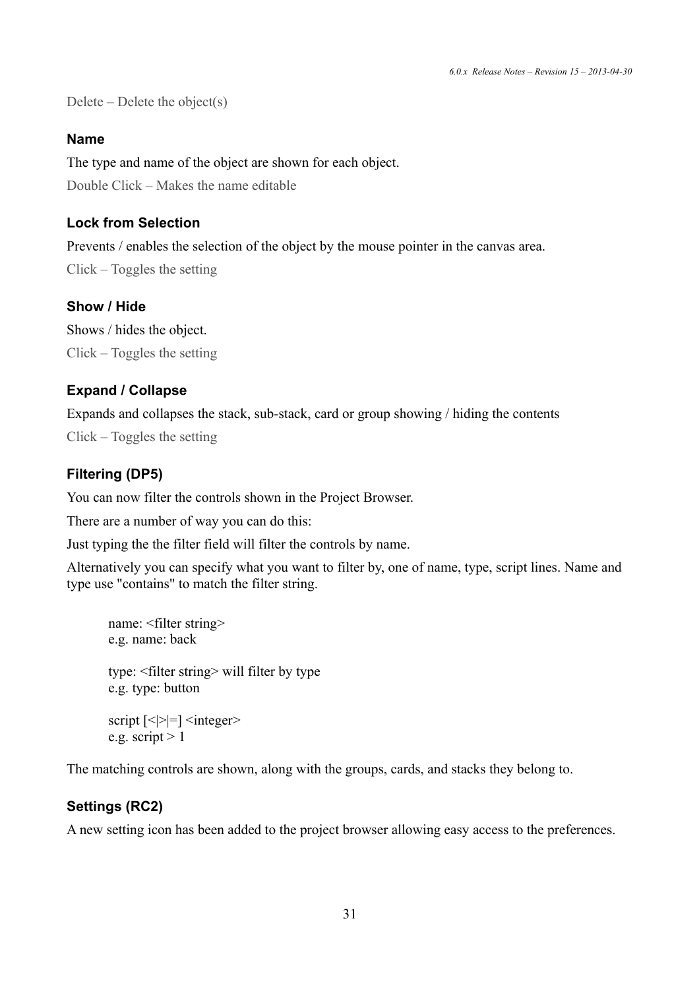Delete – Delete the object(s)

#### **Name**

The type and name of the object are shown for each object. Double Click – Makes the name editable

#### **Lock from Selection**

Prevents / enables the selection of the object by the mouse pointer in the canvas area.

Click – Toggles the setting

#### **Show / Hide**

Shows / hides the object. Click – Toggles the setting

#### **Expand / Collapse**

Expands and collapses the stack, sub-stack, card or group showing / hiding the contents Click – Toggles the setting

#### **Filtering (DP5)**

You can now filter the controls shown in the Project Browser.

There are a number of way you can do this:

Just typing the the filter field will filter the controls by name.

Alternatively you can specify what you want to filter by, one of name, type, script lines. Name and type use "contains" to match the filter string.

```
name: <filter string> 
e.g. name: back 
type: <filter string> will filter by type 
e.g. type: button 
script \left[\langle \rangle = \rangle \right] \langle \langle \text{integer} \ranglee.g. script > 1
```
The matching controls are shown, along with the groups, cards, and stacks they belong to.

#### **Settings (RC2)**

A new setting icon has been added to the project browser allowing easy access to the preferences.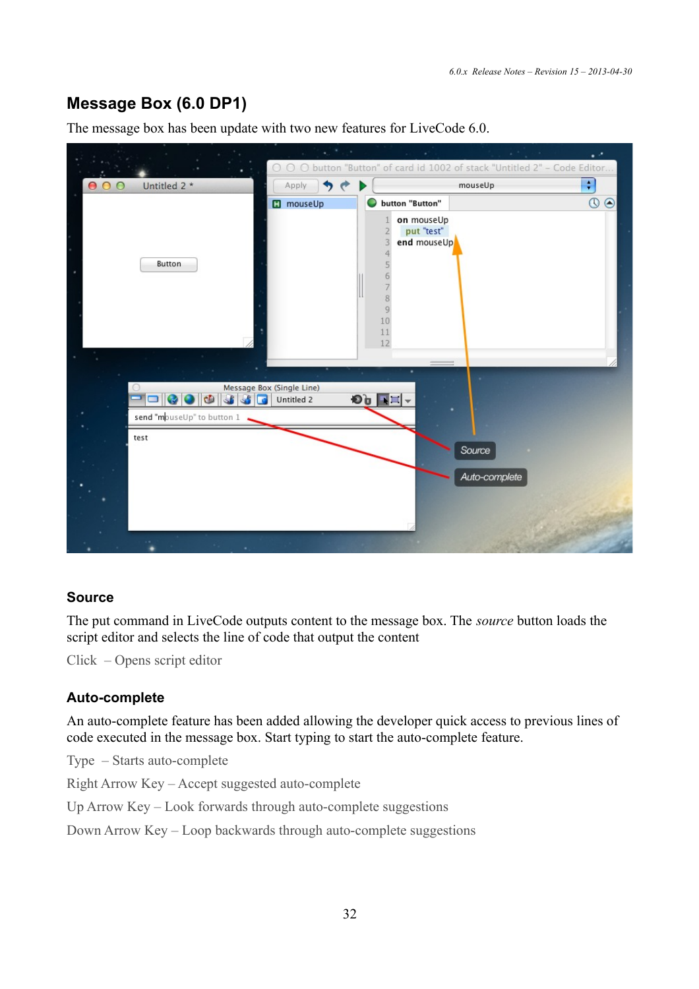## **Message Box (6.0 DP1)**

The message box has been update with two new features for LiveCode 6.0.



#### **Source**

The put command in LiveCode outputs content to the message box. The *source* button loads the script editor and selects the line of code that output the content

Click – Opens script editor

#### **Auto-complete**

An auto-complete feature has been added allowing the developer quick access to previous lines of code executed in the message box. Start typing to start the auto-complete feature.

Type – Starts auto-complete

Right Arrow Key – Accept suggested auto-complete

Up Arrow Key – Look forwards through auto-complete suggestions

Down Arrow Key – Loop backwards through auto-complete suggestions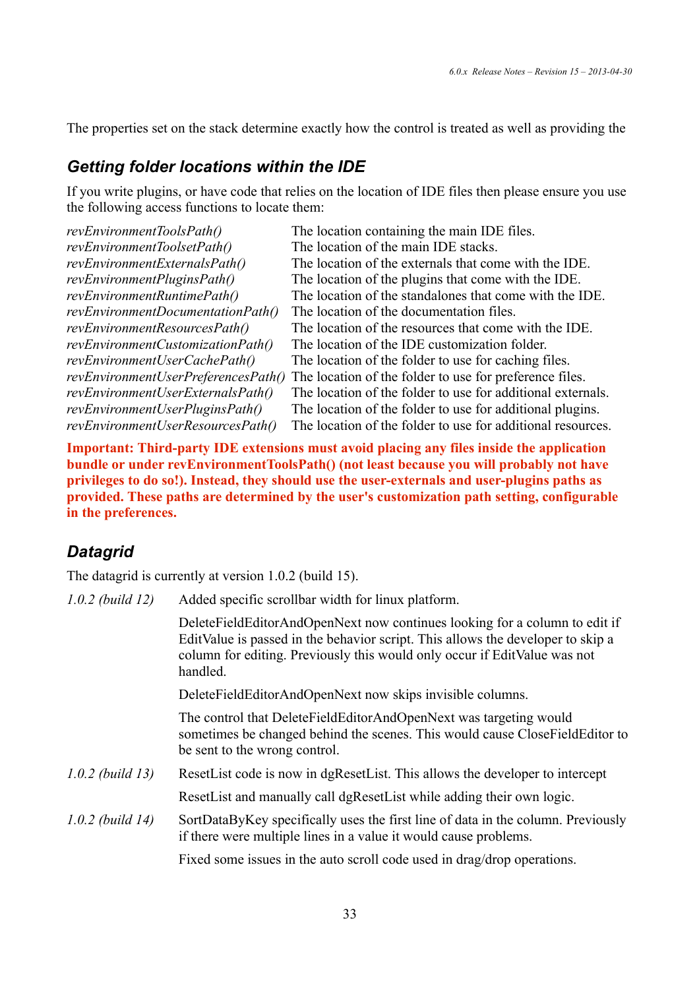The properties set on the stack determine exactly how the control is treated as well as providing the

### *Getting folder locations within the IDE*

If you write plugins, or have code that relies on the location of IDE files then please ensure you use the following access functions to locate them:

| The location containing the main IDE files.                 |
|-------------------------------------------------------------|
| The location of the main IDE stacks.                        |
| The location of the externals that come with the IDE.       |
| The location of the plugins that come with the IDE.         |
| The location of the standalones that come with the IDE.     |
| The location of the documentation files.                    |
| The location of the resources that come with the IDE.       |
| The location of the IDE customization folder.               |
| The location of the folder to use for caching files.        |
| The location of the folder to use for preference files.     |
| The location of the folder to use for additional externals. |
| The location of the folder to use for additional plugins.   |
| The location of the folder to use for additional resources. |
|                                                             |

**Important: Third-party IDE extensions must avoid placing any files inside the application bundle or under revEnvironmentToolsPath() (not least because you will probably not have privileges to do so!). Instead, they should use the user-externals and user-plugins paths as provided. These paths are determined by the user's customization path setting, configurable in the preferences.**

## *Datagrid*

The datagrid is currently at version 1.0.2 (build 15).

| $1.0.2$ (build 12) | Added specific scrollbar width for linux platform.                                                                                                                                                                                                     |
|--------------------|--------------------------------------------------------------------------------------------------------------------------------------------------------------------------------------------------------------------------------------------------------|
|                    | DeleteFieldEditorAndOpenNext now continues looking for a column to edit if<br>EditValue is passed in the behavior script. This allows the developer to skip a<br>column for editing. Previously this would only occur if EditValue was not<br>handled. |
|                    | DeleteFieldEditorAndOpenNext now skips invisible columns.                                                                                                                                                                                              |
|                    | The control that DeleteFieldEditorAndOpenNext was targeting would<br>sometimes be changed behind the scenes. This would cause CloseFieldEditor to<br>be sent to the wrong control.                                                                     |
| $1.0.2$ (build 13) | ResetList code is now in dgResetList. This allows the developer to intercept                                                                                                                                                                           |
|                    | ResetList and manually call dgResetList while adding their own logic.                                                                                                                                                                                  |
| $1.0.2$ (build 14) | SortDataByKey specifically uses the first line of data in the column. Previously<br>if there were multiple lines in a value it would cause problems.                                                                                                   |
|                    | Fixed some issues in the auto scroll code used in drag/drop operations.                                                                                                                                                                                |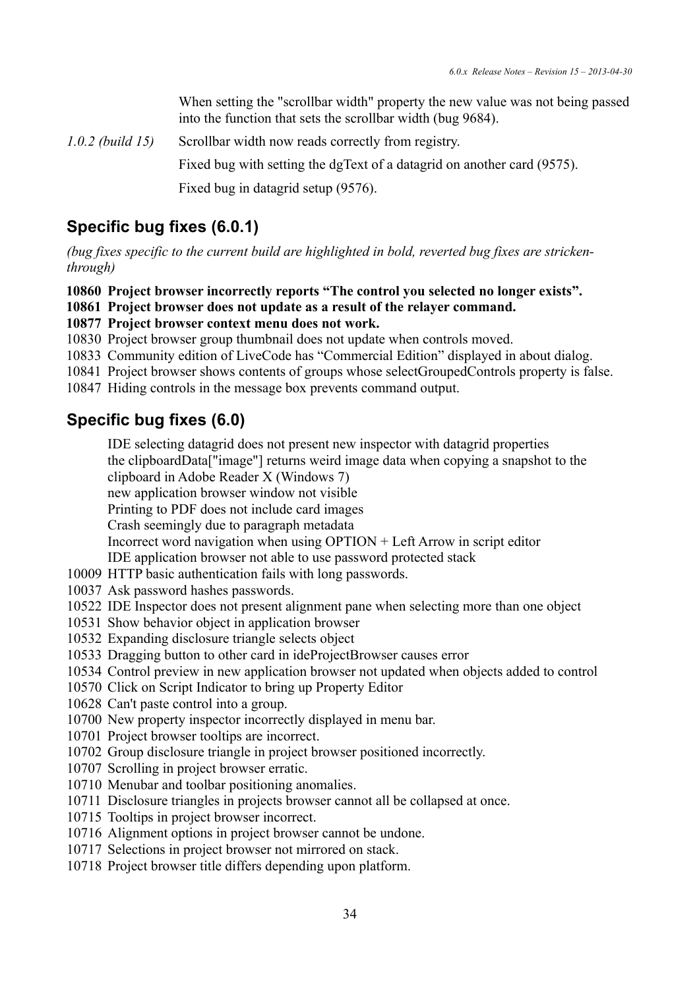When setting the "scrollbar width" property the new value was not being passed into the function that sets the scrollbar width (bug 9684).

*1.0.2 (build 15)* Scrollbar width now reads correctly from registry.

Fixed bug with setting the dgText of a datagrid on another card (9575).

Fixed bug in datagrid setup (9576).

## **Specific bug fixes (6.0.1)**

*(bug fixes specific to the current build are highlighted in bold, reverted bug fixes are strickenthrough)*

**10860 Project browser incorrectly reports "The control you selected no longer exists".**

#### **10861 Project browser does not update as a result of the relayer command.**

**10877 Project browser context menu does not work.**

10830 Project browser group thumbnail does not update when controls moved.

10833 Community edition of LiveCode has "Commercial Edition" displayed in about dialog.

- 10841 Project browser shows contents of groups whose selectGroupedControls property is false.
- 10847 Hiding controls in the message box prevents command output.

## **Specific bug fixes (6.0)**

IDE selecting datagrid does not present new inspector with datagrid properties the clipboardData["image"] returns weird image data when copying a snapshot to the

clipboard in Adobe Reader X (Windows 7)

[new application browser window not visible](http://quality.runrev.com/show_bug.cgi?id=10566)

[Printing to PDF does not include card images](http://quality.runrev.com/show_bug.cgi?id=10574)

[Crash seemingly due to paragraph metadata](http://quality.runrev.com/show_bug.cgi?id=10577)

Incorrect word navigation when using OPTION + Left Arrow in script editor

IDE application browser not able to use password protected stack

- 10009 HTTP basic authentication fails with long passwords.
- 10037 Ask password hashes passwords.
- 10522 IDE Inspector does not present alignment pane when selecting more than one object
- 10531 Show behavior object in application browser
- 10532 Expanding disclosure triangle selects object
- 10533 Dragging button to other card in ideProjectBrowser causes error
- 10534 Control preview in new application browser not updated when objects added to control
- 10570 Click on Script Indicator to bring up Property Editor
- 10628 Can't paste control into a group.
- 10700 New property inspector incorrectly displayed in menu bar.
- 10701 Project browser tooltips are incorrect.
- 10702 Group disclosure triangle in project browser positioned incorrectly.
- 10707 Scrolling in project browser erratic.
- 10710 Menubar and toolbar positioning anomalies.
- 10711 Disclosure triangles in projects browser cannot all be collapsed at once.
- 10715 Tooltips in project browser incorrect.
- 10716 Alignment options in project browser cannot be undone.
- 10717 Selections in project browser not mirrored on stack.
- 10718 Project browser title differs depending upon platform.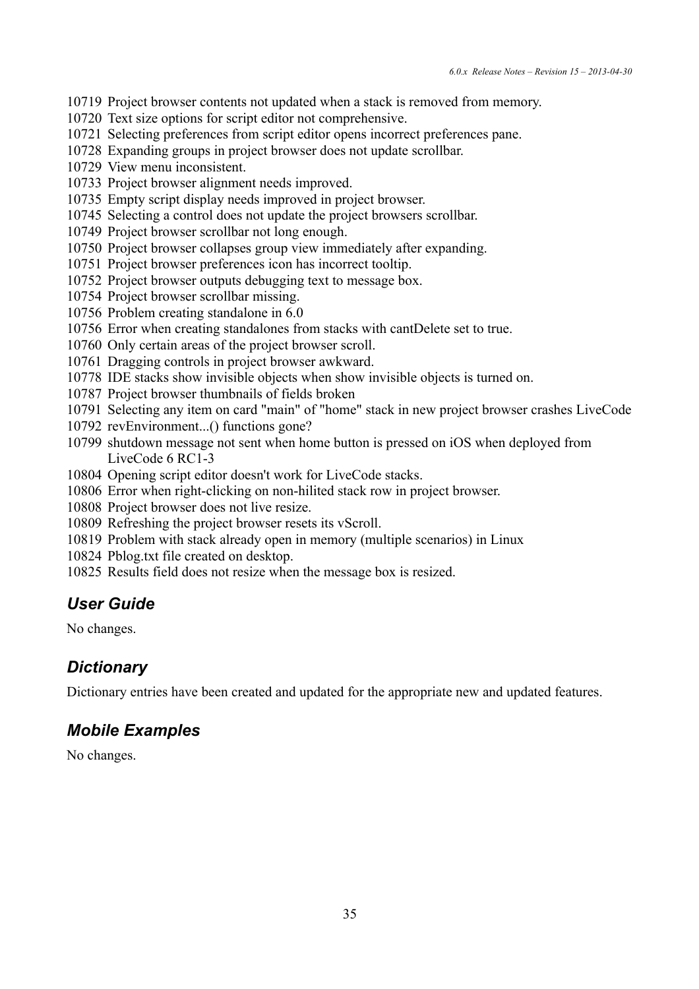- Project browser contents not updated when a stack is removed from memory.
- Text size options for script editor not comprehensive.
- Selecting preferences from script editor opens incorrect preferences pane.
- Expanding groups in project browser does not update scrollbar.
- View menu inconsistent.
- Project browser alignment needs improved.
- Empty script display needs improved in project browser.
- Selecting a control does not update the project browsers scrollbar.
- Project browser scrollbar not long enough.
- Project browser collapses group view immediately after expanding.
- Project browser preferences icon has incorrect tooltip.
- Project browser outputs debugging text to message box.
- Project browser scrollbar missing.
- Problem creating standalone in 6.0
- Error when creating standalones from stacks with cantDelete set to true.
- Only certain areas of the project browser scroll.
- Dragging controls in project browser awkward.
- IDE stacks show invisible objects when show invisible objects is turned on.
- Project browser thumbnails of fields broken
- Selecting any item on card "main" of "home" stack in new project browser crashes LiveCode
- revEnvironment...() functions gone?
- shutdown message not sent when home button is pressed on iOS when deployed from LiveCode 6 RC1-3
- Opening script editor doesn't work for LiveCode stacks.
- Error when right-clicking on non-hilited stack row in project browser.
- Project browser does not live resize.
- Refreshing the project browser resets its vScroll.
- Problem with stack already open in memory (multiple scenarios) in Linux
- Pblog.txt file created on desktop.
- Results field does not resize when the message box is resized.

## *User Guide*

No changes.

## *Dictionary*

Dictionary entries have been created and updated for the appropriate new and updated features.

## *Mobile Examples*

No changes.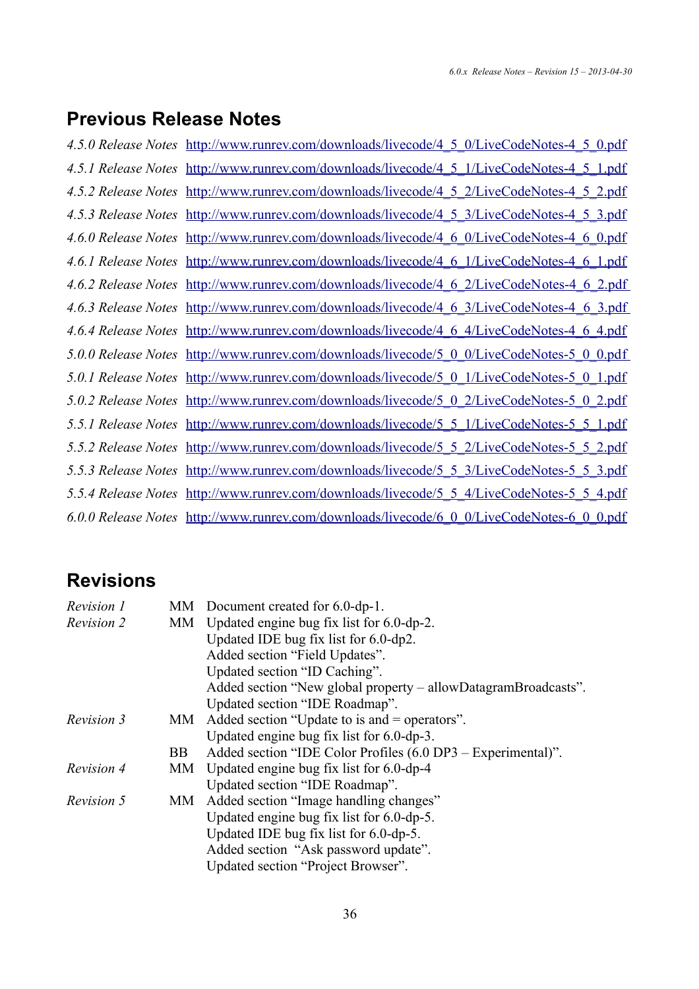# **Previous Release Notes**

| 4.5.0 Release Notes http://www.runrev.com/downloads/livecode/4 5 0/LiveCodeNotes-4 5 0.pdf |
|--------------------------------------------------------------------------------------------|
| 4.5.1 Release Notes http://www.runrev.com/downloads/livecode/4 5 1/LiveCodeNotes-4 5 1.pdf |
| 4.5.2 Release Notes http://www.runrev.com/downloads/livecode/4_5_2/LiveCodeNotes-4_5_2.pdf |
| 4.5.3 Release Notes http://www.runrev.com/downloads/livecode/4 5 3/LiveCodeNotes-4 5 3.pdf |
| 4.6.0 Release Notes http://www.runrev.com/downloads/livecode/4 6 0/LiveCodeNotes-4 6 0.pdf |
| 4.6.1 Release Notes http://www.runrev.com/downloads/livecode/4 6 1/LiveCodeNotes-4 6 1.pdf |
| 4.6.2 Release Notes http://www.runrev.com/downloads/livecode/4_6_2/LiveCodeNotes-4_6_2.pdf |
| 4.6.3 Release Notes http://www.runrev.com/downloads/livecode/4_6_3/LiveCodeNotes-4_6_3.pdf |
| 4.6.4 Release Notes http://www.runrev.com/downloads/livecode/4 6 4/LiveCodeNotes-4 6 4.pdf |
| 5.0.0 Release Notes http://www.runrev.com/downloads/livecode/5 0 0/LiveCodeNotes-5 0 0.pdf |
| 5.0.1 Release Notes http://www.runrev.com/downloads/livecode/5 0 1/LiveCodeNotes-5 0 1.pdf |
| 5.0.2 Release Notes http://www.runrev.com/downloads/livecode/5_0_2/LiveCodeNotes-5_0_2.pdf |
| 5.5.1 Release Notes http://www.runrev.com/downloads/livecode/5 5 1/LiveCodeNotes-5 5 1.pdf |
| 5.5.2 Release Notes http://www.runrev.com/downloads/livecode/5 5 2/LiveCodeNotes-5 5 2.pdf |
| 5.5.3 Release Notes http://www.runrev.com/downloads/livecode/5 5 3/LiveCodeNotes-5 5 3.pdf |
| 5.5.4 Release Notes http://www.runrev.com/downloads/livecode/5 5 4/LiveCodeNotes-5 5 4.pdf |
| 6.0.0 Release Notes http://www.runrev.com/downloads/livecode/6 0 0/LiveCodeNotes-6 0 0.pdf |

# **Revisions**

| Revision 1       |      | MM Document created for 6.0-dp-1.                              |
|------------------|------|----------------------------------------------------------------|
| Revision 2<br>MM |      | Updated engine bug fix list for 6.0-dp-2.                      |
|                  |      | Updated IDE bug fix list for 6.0-dp2.                          |
|                  |      | Added section "Field Updates".                                 |
|                  |      | Updated section "ID Caching".                                  |
|                  |      | Added section "New global property – allowDatagramBroadcasts". |
|                  |      | Updated section "IDE Roadmap".                                 |
| Revision 3       | MM - | Added section "Update to is and $=$ operators".                |
|                  |      | Updated engine bug fix list for $6.0$ -dp-3.                   |
|                  | BB.  | Added section "IDE Color Profiles (6.0 DP3 – Experimental)".   |
| Revision 4       | МM   | Updated engine bug fix list for 6.0-dp-4                       |
|                  |      | Updated section "IDE Roadmap".                                 |
| Revision 5       | MМ   | Added section "Image handling changes"                         |
|                  |      | Updated engine bug fix list for $6.0$ -dp-5.                   |
|                  |      | Updated IDE bug fix list for $6.0$ -dp-5.                      |
|                  |      | Added section "Ask password update".                           |
|                  |      | Updated section "Project Browser".                             |